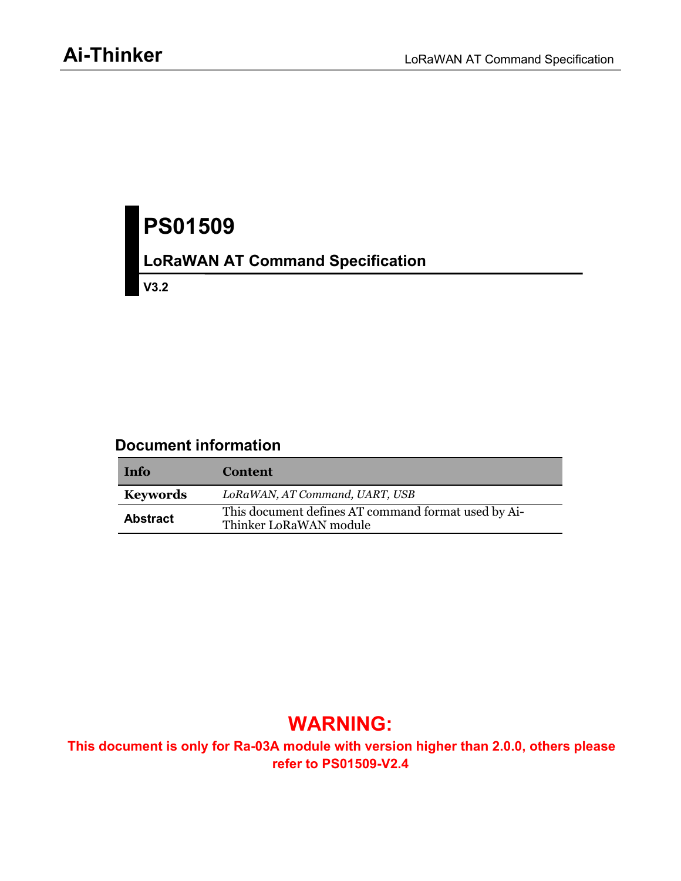# **PS01509**

# **LoRaWAN AT Command Specification**

**V3.2**

## **Document information**

| Info            | <b>Content</b>                                                                |
|-----------------|-------------------------------------------------------------------------------|
| <b>Keywords</b> | LoRaWAN, AT Command, UART, USB                                                |
| <b>Abstract</b> | This document defines AT command format used by Ai-<br>Thinker LoRaWAN module |

# **WARNING:**

**This document is only for Ra-03A module with version higher than 2.0.0, others please refer to PS01509-V2.4**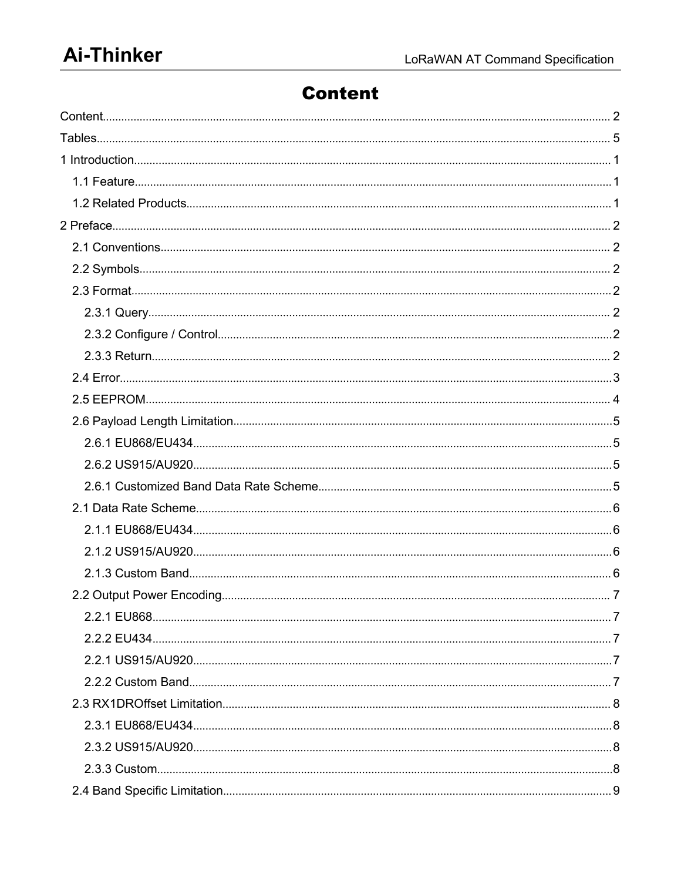# <span id="page-1-0"></span>**Content**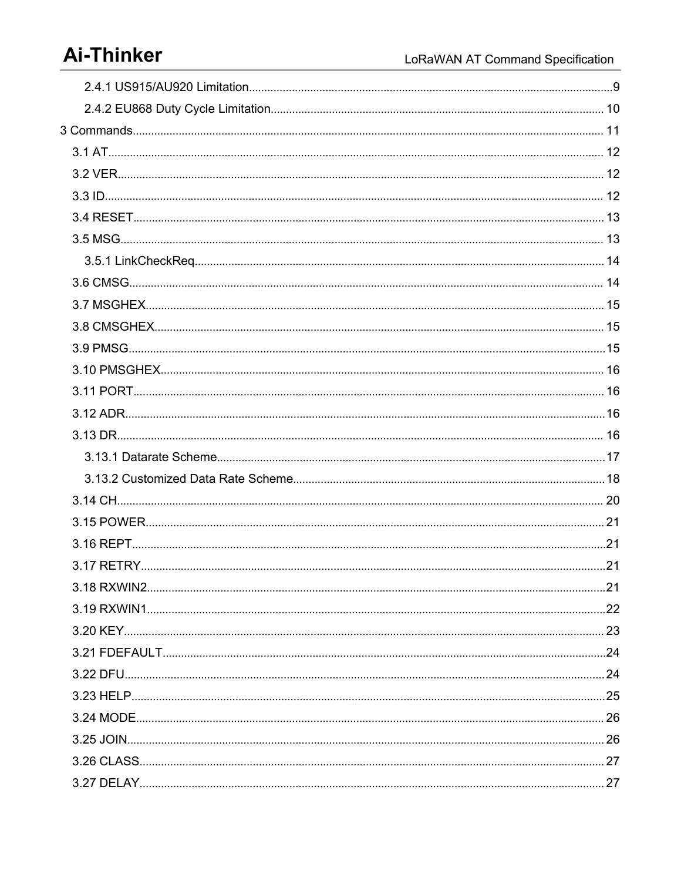# **Ai-Thinker**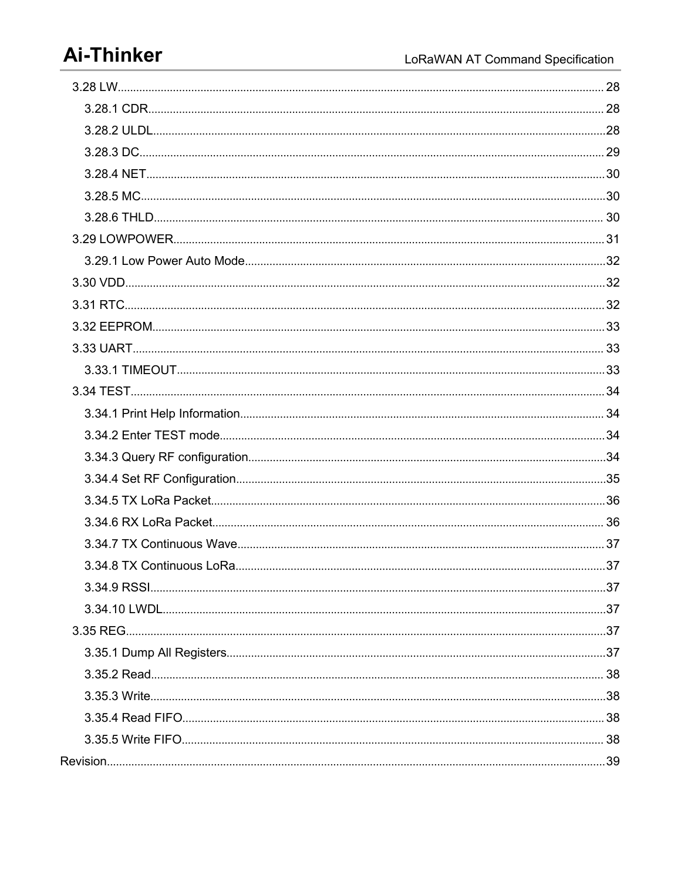# **Ai-Thinker**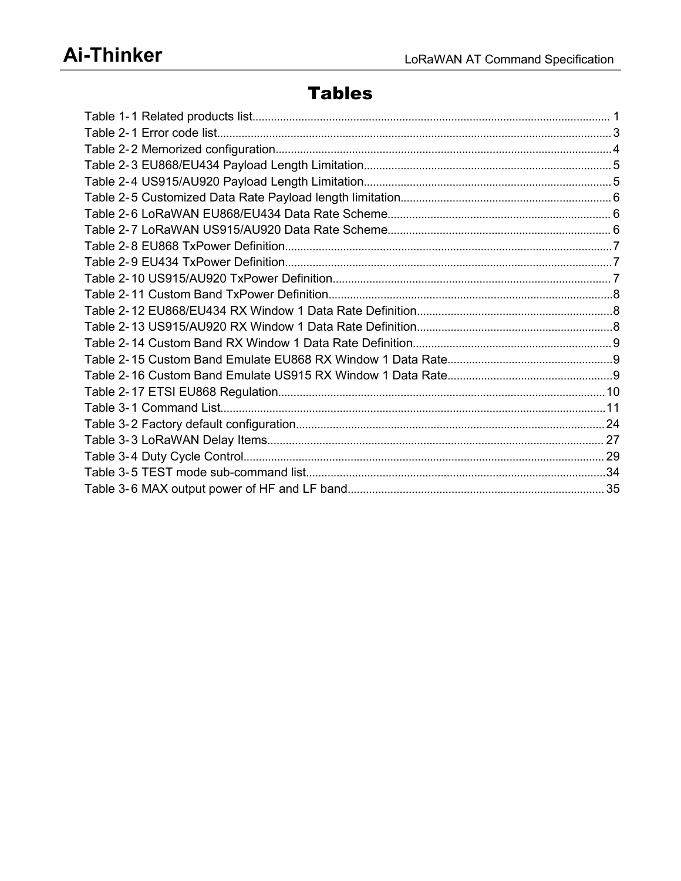# <span id="page-4-0"></span>**Tables**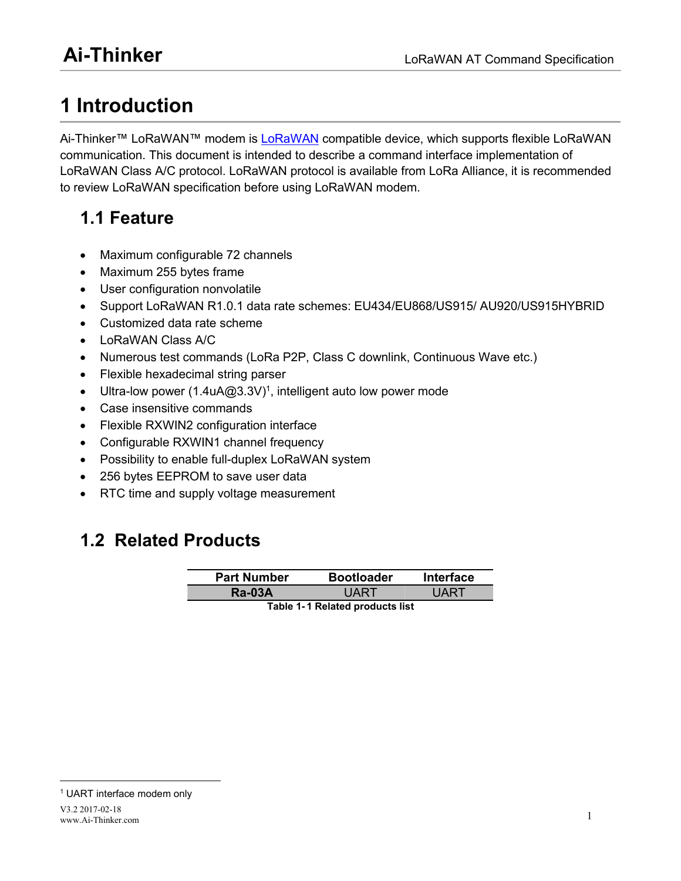# <span id="page-5-3"></span><span id="page-5-2"></span><span id="page-5-1"></span><span id="page-5-0"></span>**1 Introduction**

Ai-Thinker™ [LoRaWAN](http://lora-alliance.org/)™ modem is LoRaWAN compatible device, which supports flexible LoRaWAN communication. This document is intended to describe a command interface implementation of LoRaWAN Class A/C protocol. LoRaWAN protocol is available from LoRa Alliance, it is recommended to review LoRaWAN specification before using LoRaWAN modem.

# **1.1 Feature**

- Maximum configurable 72 channels
- Maximum 255 bytes frame
- User configuration nonvolatile
- Support LoRaWAN R1.0.1 data rate schemes: EU434/EU868/US915/ AU920/US915HYBRID
- Customized data rate scheme
- LoRaWAN Class A/C
- Numerous test commands (LoRa P2P, Class C downlink, Continuous Wave etc.)
- Flexible hexadecimal string parser
- Ultra-low power ([1](#page-5-4).4uA@3.3V)<sup>1</sup>, intelligent auto low power mode
- Case insensitive commands
- Flexible RXWIN2 configuration interface
- Configurable RXWIN1 channel frequency
- Possibility to enable full-duplex LoRaWAN system
- 256 bytes EEPROM to save user data
- RTC time and supply voltage measurement

# **1.2 Related Products**

| <b>Part Number</b> | <b>Bootloader</b> | <b>Interface</b>                 |
|--------------------|-------------------|----------------------------------|
| <b>Ra-03A</b>      | 1 A D T           | . $I\mathsf{A}\mathsf{R}^{\tau}$ |
|                    |                   |                                  |

**Table 1- 1 Related products list**

<span id="page-5-4"></span><sup>1</sup> UART interface modem only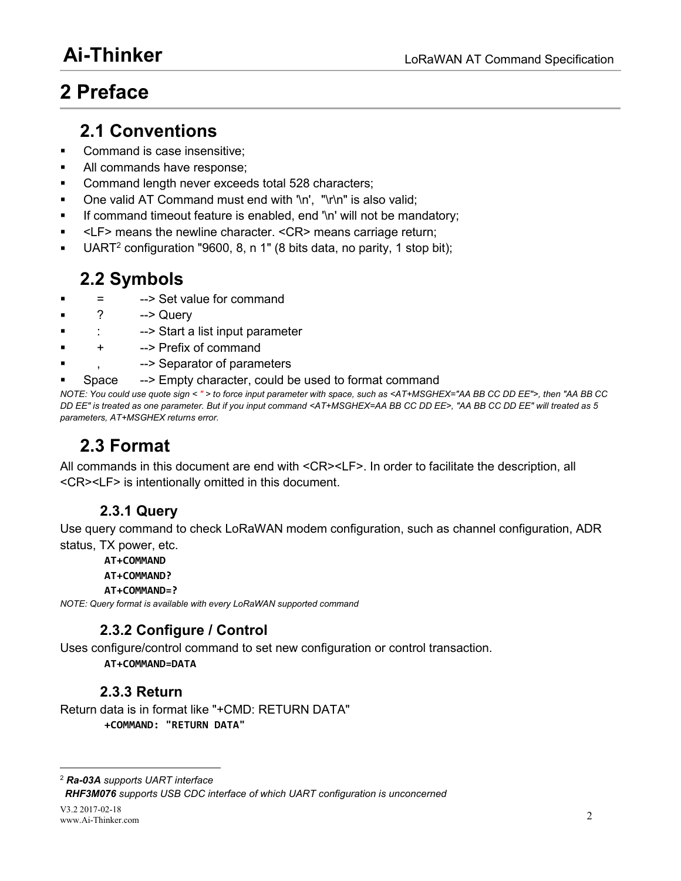# <span id="page-6-1"></span><span id="page-6-0"></span>**2 Preface**

## <span id="page-6-2"></span>**2.1 Conventions**

- Command is case insensitive:
- All commands have response;
- Command length never exceeds total 528 characters;
- One valid AT Command must end with '\n', "\r\n" is also valid;
- If command timeout feature is enabled, end '\n' will not be mandatory;
- <LF> means the newline character. <CR> means carriage return;
- UART [2](#page-6-3) configuration "9600, 8, n 1" (8 bits data, no parity, 1 stop bit);

# **2.2 Symbols**

- = --> Set value for command
- ? --> Query
- -- > Start a list input parameter
- + --> Prefix of command
- --> Separator of parameters
- Space --> Empty character, could be used to format command

NOTE: You could use quote sign < " > to force input parameter with space, such as <AT+MSGHEX="AA BB CC DD EE">, then "AA BB CC DD EE" is treated as one parameter. But if you input command <AT+MSGHEX=AA BB CC DD EE>. "AA BB CC DD EE" will treated as 5 *parameters, AT+MSGHEX returns error.*

# **2.3 Format**

All commands in this document are end with <CR><LF>. In order to facilitate the description, all <CR><LF> is intentionally omitted in this document.

## **2.3.1 Query**

Use query command to check LoRaWAN modem configuration, such as channel configuration, ADR status, TX power, etc.

**AT+COMMAND**

#### **AT+COMMAND?**

#### **AT+COMMAND=?**

*NOTE: Query format is available with every LoRaWAN supported command*

## **2.3.2 Configure / Control**

Uses configure/control command to set new configuration or control transaction.

**AT+COMMAND=DATA**

### **2.3.3 Return**

Return data is in format like "+CMD: RETURN DATA" **+COMMAND: "RETURN DATA"**

<span id="page-6-3"></span><sup>2</sup> *Ra-03A supports UART interface*

*RHF3M076 supports USB CDC interface of which UART configuration isunconcerned*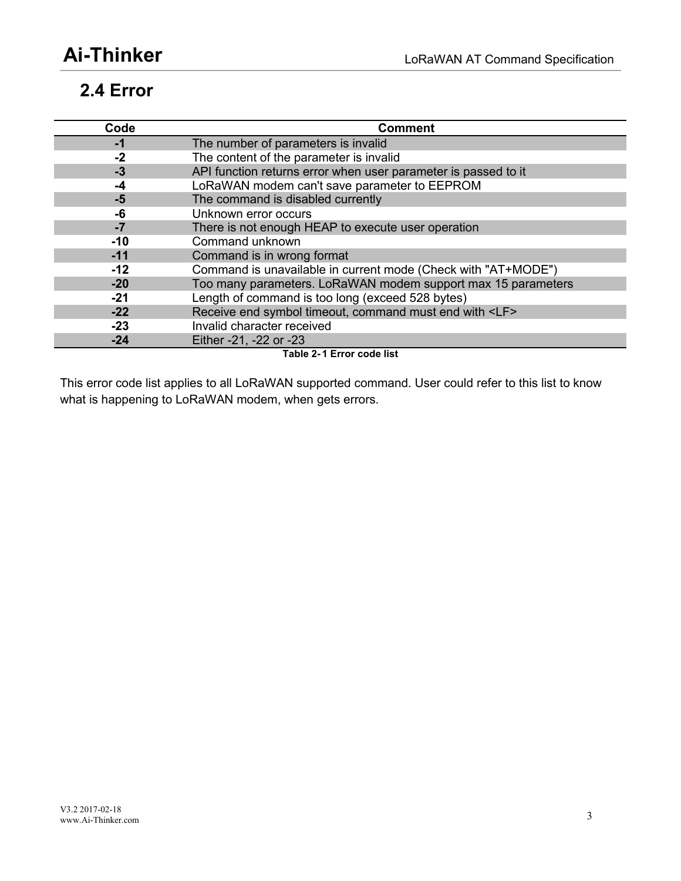# <span id="page-7-1"></span><span id="page-7-0"></span>**2.4 Error**

| Code  | <b>Comment</b>                                                 |
|-------|----------------------------------------------------------------|
| -1    | The number of parameters is invalid                            |
| $-2$  | The content of the parameter is invalid                        |
| $-3$  | API function returns error when user parameter is passed to it |
| -4    | LoRaWAN modem can't save parameter to EEPROM                   |
| $-5$  | The command is disabled currently                              |
| -6    | Unknown error occurs                                           |
| -7    | There is not enough HEAP to execute user operation             |
| $-10$ | Command unknown                                                |
| $-11$ | Command is in wrong format                                     |
| $-12$ | Command is unavailable in current mode (Check with "AT+MODE")  |
| $-20$ | Too many parameters. LoRaWAN modem support max 15 parameters   |
| -21   | Length of command is too long (exceed 528 bytes)               |
| $-22$ | Receive end symbol timeout, command must end with <lf></lf>    |
| $-23$ | Invalid character received                                     |
| $-24$ | Either -21, -22 or -23                                         |

**Table 2- 1 Error code list**

This error code list applies to all LoRaWAN supported command. User could refer to this list to know what is happening to LoRaWAN modem, when gets errors.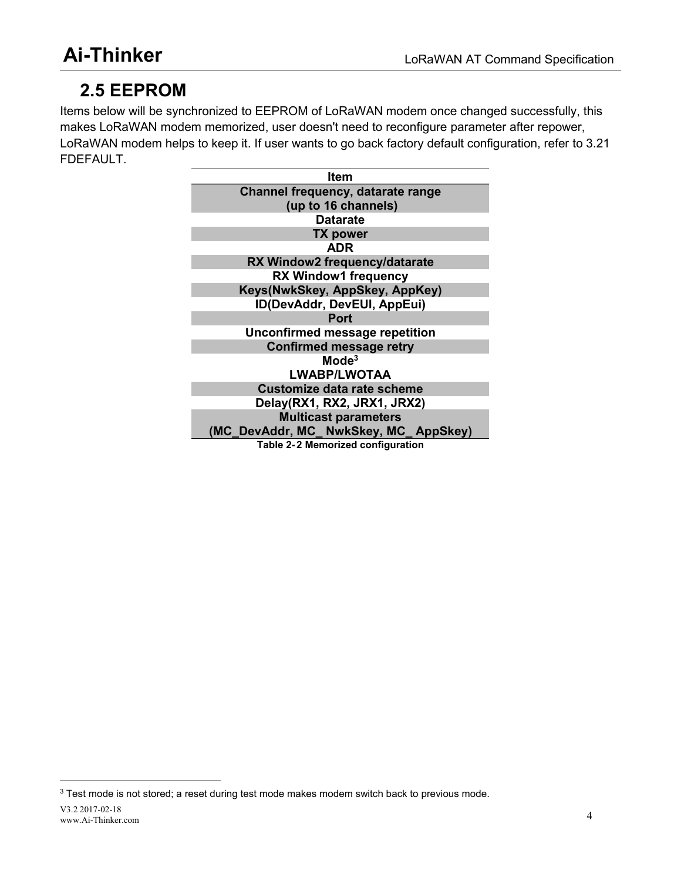# <span id="page-8-0"></span>**2.5 EEPROM**

Items below will be synchronized to EEPROM of LoRaWAN modem once changed successfully, this makes LoRaWAN modem memorized, user doesn't need to reconfigure parameter after repower, LoRaWAN modem helps to keep it. If user wants to go back factory default configuration, refer to 3.21 FDEFAULT.

<span id="page-8-1"></span>

| Item                                 |
|--------------------------------------|
| Channel frequency, datarate range    |
| (up to 16 channels)                  |
| <b>Datarate</b>                      |
| <b>TX power</b>                      |
| <b>ADR</b>                           |
| RX Window2 frequency/datarate        |
| <b>RX Window1 frequency</b>          |
| Keys(NwkSkey, AppSkey, AppKey)       |
| ID(DevAddr, DevEUI, AppEui)          |
| <b>Port</b>                          |
| Unconfirmed message repetition       |
| <b>Confirmed message retry</b>       |
| Mode <sup>3</sup>                    |
| <b>LWABP/LWOTAA</b>                  |
| <b>Customize data rate scheme</b>    |
| Delay(RX1, RX2, JRX1, JRX2)          |
| <b>Multicast parameters</b>          |
| (MC DevAddr, MC_NwkSkey, MC_AppSkey) |
| Table 2-2 Memorized configuration    |

<span id="page-8-2"></span><sup>&</sup>lt;sup>3</sup> Test mode is not stored; a reset during test mode makes modem switch back to previous mode.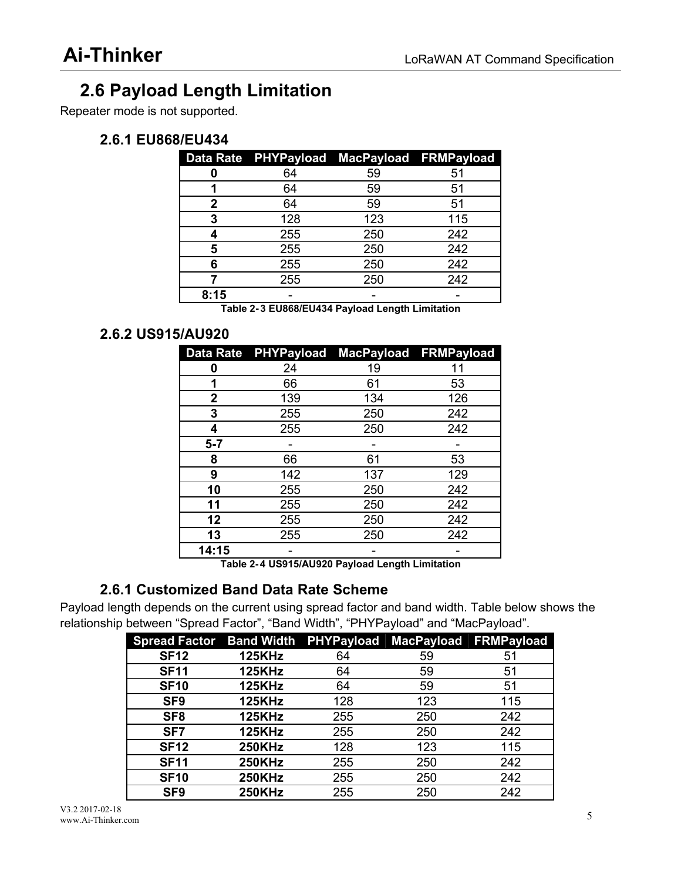# <span id="page-9-1"></span><span id="page-9-0"></span>**2.6 Payload Length Limitation**

Repeater mode is not supported.

## **2.6.1 EU868/EU434**

<span id="page-9-3"></span><span id="page-9-2"></span>

|      | Data Rate PHYPayload MacPayload FRMPayload |     |     |
|------|--------------------------------------------|-----|-----|
|      | 64                                         | 59  | 51  |
|      | 64                                         | 59  | 51  |
|      | 64                                         | 59  | 51  |
|      | 128                                        | 123 | 115 |
|      | 255                                        | 250 | 242 |
|      | 255                                        | 250 | 242 |
|      | 255                                        | 250 | 242 |
|      | 255                                        | 250 | 242 |
| 8:15 | -                                          |     |     |

**Table 2- 3 EU868/EU434 Payload Length Limitation**

### **2.6.2 US915/AU920**

|       |     |     | Data Rate PHYPayload MacPayload FRMPayload |
|-------|-----|-----|--------------------------------------------|
| 0     | 24  | 19  | 11                                         |
| 1     | 66  | 61  | 53                                         |
| 2     | 139 | 134 | 126                                        |
| 3     | 255 | 250 | 242                                        |
| 4     | 255 | 250 | 242                                        |
| $5-7$ |     |     |                                            |
| 8     | 66  | 61  | 53                                         |
| 9     | 142 | 137 | 129                                        |
| 10    | 255 | 250 | 242                                        |
| 11    | 255 | 250 | 242                                        |
| 12    | 255 | 250 | 242                                        |
| 13    | 255 | 250 | 242                                        |
| 14:15 |     |     |                                            |

**Table 2- 4 US915/AU920 Payload Length Limitation**

## **2.6.1 Customized Band Data Rate Scheme**

Payload length depends on the current using spread factor and band width.Table below shows the relationship between "Spread Factor", "Band Width", "PHYPayload" and "MacPayload".

| Spread Factor Band Width PHYPayload MacPayload FRMPayload |               |     |     |     |
|-----------------------------------------------------------|---------------|-----|-----|-----|
| <b>SF12</b>                                               | <b>125KHz</b> | 64  | 59  | 51  |
| <b>SF11</b>                                               | <b>125KHz</b> | 64  | 59  | 51  |
| <b>SF10</b>                                               | <b>125KHz</b> | 64  | 59  | 51  |
| SF <sub>9</sub>                                           | <b>125KHz</b> | 128 | 123 | 115 |
| SF <sub>8</sub>                                           | <b>125KHz</b> | 255 | 250 | 242 |
| SF <sub>7</sub>                                           | <b>125KHz</b> | 255 | 250 | 242 |
| <b>SF12</b>                                               | <b>250KHz</b> | 128 | 123 | 115 |
| <b>SF11</b>                                               | <b>250KHz</b> | 255 | 250 | 242 |
| <b>SF10</b>                                               | <b>250KHz</b> | 255 | 250 | 242 |
| SF <sub>9</sub>                                           | <b>250KHz</b> | 255 | 250 | 242 |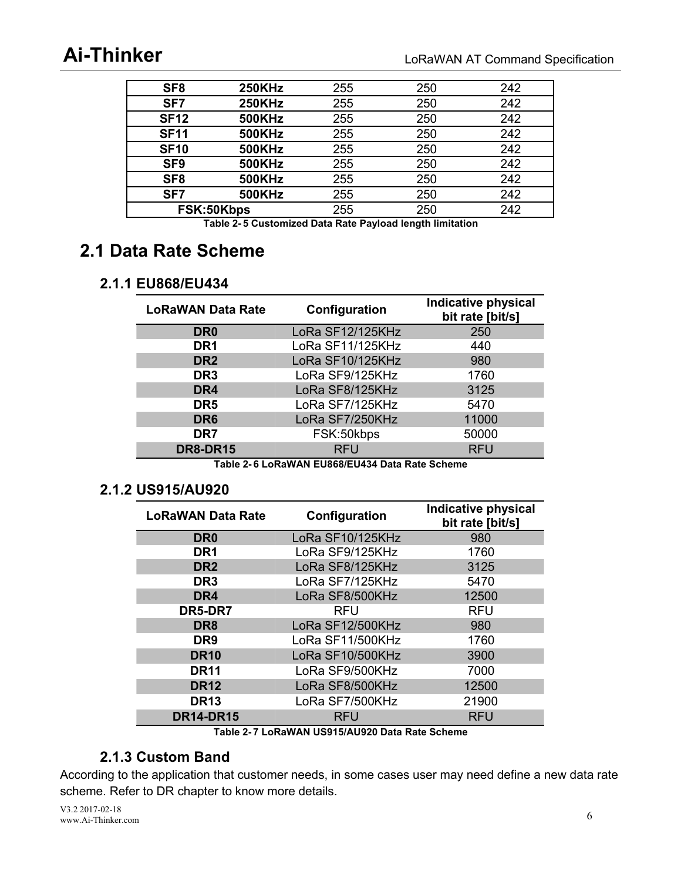<span id="page-10-3"></span><span id="page-10-2"></span><span id="page-10-1"></span><span id="page-10-0"></span>

| SF <sub>8</sub> | <b>250KHz</b> | 255 | 250 | 242 |
|-----------------|---------------|-----|-----|-----|
| SF7             | <b>250KHz</b> | 255 | 250 | 242 |
| <b>SF12</b>     | <b>500KHz</b> | 255 | 250 | 242 |
| <b>SF11</b>     | <b>500KHz</b> | 255 | 250 | 242 |
| <b>SF10</b>     | <b>500KHz</b> | 255 | 250 | 242 |
| SF <sub>9</sub> | <b>500KHz</b> | 255 | 250 | 242 |
| SF <sub>8</sub> | <b>500KHz</b> | 255 | 250 | 242 |
| SF7             | <b>500KHz</b> | 255 | 250 | 242 |
| FSK:50Kbps      |               | 255 | 250 | 242 |
|                 |               |     |     |     |

**Table 2- 5 Customized Data Rate Payload length limitation**

# **2.1 Data Rate Scheme**

## **2.1.1 EU868/EU434**

| <b>LoRaWAN Data Rate</b> | Configuration    | <b>Indicative physical</b><br>bit rate [bit/s] |
|--------------------------|------------------|------------------------------------------------|
| DR <sub>0</sub>          | LoRa SF12/125KHz | 250                                            |
| DR <sub>1</sub>          | LoRa SF11/125KHz | 440                                            |
| DR <sub>2</sub>          | LoRa SF10/125KHz | 980                                            |
| DR <sub>3</sub>          | LoRa SF9/125KHz  | 1760                                           |
| DR4                      | LoRa SF8/125KHz  | 3125                                           |
| DR <sub>5</sub>          | LoRa SF7/125KHz  | 5470                                           |
| DR <sub>6</sub>          | LoRa SF7/250KHz  | 11000                                          |
| DR7                      | FSK:50kbps       | 50000                                          |
| <b>DR8-DR15</b>          | <b>RFU</b>       | <b>RFU</b>                                     |

**Table 2- 6 LoRaWAN EU868/EU434 Data Rate Scheme**

#### **2.1.2 US915/AU920**

| <b>LoRaWAN Data Rate</b> | Configuration    | <b>Indicative physical</b><br>bit rate [bit/s] |
|--------------------------|------------------|------------------------------------------------|
| DR <sub>0</sub>          | LoRa SF10/125KHz | 980                                            |
| DR <sub>1</sub>          | LoRa SF9/125KHz  | 1760                                           |
| DR <sub>2</sub>          | LoRa SF8/125KHz  | 3125                                           |
| DR <sub>3</sub>          | LoRa SF7/125KHz  | 5470                                           |
| DR4                      | LoRa SF8/500KHz  | 12500                                          |
| DR5-DR7                  | <b>RFU</b>       | <b>RFU</b>                                     |
| DR <sub>8</sub>          | LoRa SF12/500KHz | 980                                            |
| DR <sub>9</sub>          | LoRa SF11/500KHz | 1760                                           |
| <b>DR10</b>              | LoRa SF10/500KHz | 3900                                           |
| <b>DR11</b>              | LoRa SF9/500KHz  | 7000                                           |
| <b>DR12</b>              | LoRa SF8/500KHz  | 12500                                          |
| <b>DR13</b>              | LoRa SF7/500KHz  | 21900                                          |
| <b>DR14-DR15</b>         | <b>RFU</b>       | <b>RFU</b>                                     |

**Table 2- 7 LoRaWAN US915/AU920 Data Rate Scheme**

## **2.1.3 Custom Band**

According to the application that customer needs, in some cases user may need define a new data rate scheme. Refer to DR chapter to know more details.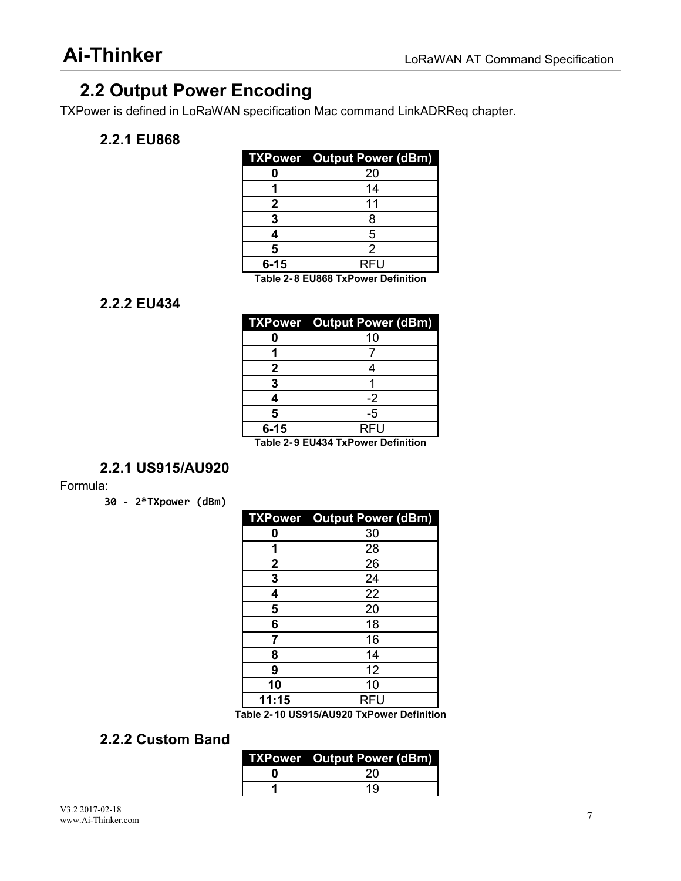# <span id="page-11-1"></span><span id="page-11-0"></span>**2.2 Output Power Encoding**

TXPower is defined in LoRaWAN specification Mac command LinkADRReq chapter.

### **2.2.1 EU868**

<span id="page-11-3"></span><span id="page-11-2"></span>

|          | <b>TXPower</b> Output Power (dBm)                                                                         |
|----------|-----------------------------------------------------------------------------------------------------------|
|          | 20                                                                                                        |
|          |                                                                                                           |
|          |                                                                                                           |
|          |                                                                                                           |
|          |                                                                                                           |
|          |                                                                                                           |
| $6 - 15$ | <b>RFU</b>                                                                                                |
|          | $T_{\rm eff}$ , and $T_{\rm eff}$ and $T_{\rm eff}$ and $T_{\rm eff}$ and $T_{\rm eff}$ and $T_{\rm eff}$ |

**Table 2- 8 EU868 TxPower Definition**

#### **2.2.2 EU434**

|          | <b>TXPower</b> Output Power (dBm)     |
|----------|---------------------------------------|
|          |                                       |
|          |                                       |
|          |                                       |
|          |                                       |
|          |                                       |
|          |                                       |
| $6 - 15$ | <b>RFU</b>                            |
|          | Table 0, 0, EU404 TaBarroo Baffolklan |

**Table 2- 9 EU434 TxPower Definition**

### **2.2.1 US915/AU920**

#### Formula:

**30 - 2\*TXpower (dBm)**

|             | <b>TXPower</b> Output Power (dBm) |
|-------------|-----------------------------------|
| Ω           | 30                                |
| 1           | 28                                |
| $\mathbf 2$ | 26                                |
| 3           | 24                                |
| 4           | 22                                |
| 5           | 20                                |
| 6           | 18                                |
|             | 16                                |
| 8           | 14                                |
| 9           | 12                                |
| 10          | 10                                |
| 11:15       | <b>RFU</b>                        |

**Table 2- 10 US915/AU920 TxPower Definition**

### **2.2.2 Custom Band**

| <b>TXPower</b> Output Power (dBm) |
|-----------------------------------|
|                                   |
|                                   |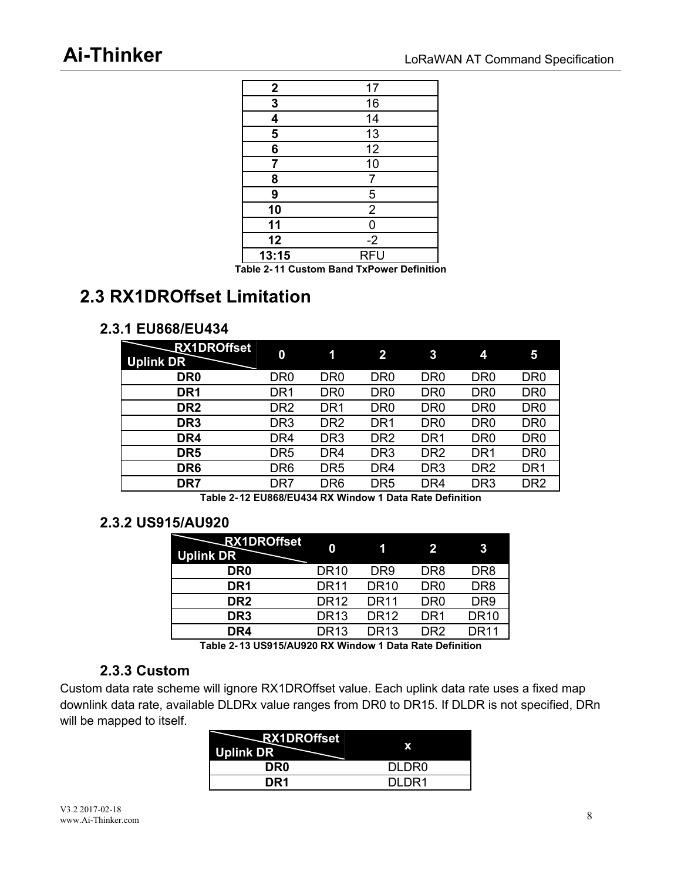<span id="page-12-3"></span><span id="page-12-2"></span><span id="page-12-1"></span><span id="page-12-0"></span>

| $\boldsymbol{2}$ | 17              |
|------------------|-----------------|
| 3                | 16              |
| 4                | 14              |
| 5                | $\overline{13}$ |
| 6                | 12              |
| 7                | 10              |
| 8                |                 |
| 9                | 5               |
| 10               | $\overline{2}$  |
| 11               | ი               |
| 12               | $-2$            |
| 13:15            | <b>RFU</b>      |

**Table 2- 11 Custom Band TxPower Definition**

# **2.3 RX1DROffset Limitation**

### **2.3.1 EU868/EU434**

| <b>RX1DROffset</b><br><b>Uplink DR</b> | 0               | 1               | $\overline{2}$  | 3               | 4               | 5               |
|----------------------------------------|-----------------|-----------------|-----------------|-----------------|-----------------|-----------------|
| DR <sub>0</sub>                        | DR <sub>0</sub> | DR <sub>0</sub> | DR <sub>0</sub> | DR <sub>0</sub> | DR <sub>0</sub> | DR <sub>0</sub> |
| DR <sub>1</sub>                        | DR <sub>1</sub> | DR <sub>0</sub> | DR <sub>0</sub> | DR <sub>0</sub> | DR <sub>0</sub> | DR <sub>0</sub> |
| DR <sub>2</sub>                        | DR <sub>2</sub> | DR <sub>1</sub> | DR <sub>0</sub> | DR <sub>0</sub> | DR <sub>0</sub> | DR <sub>0</sub> |
| DR <sub>3</sub>                        | DR <sub>3</sub> | DR <sub>2</sub> | DR <sub>1</sub> | DR <sub>0</sub> | DR <sub>0</sub> | DR <sub>0</sub> |
| DR4                                    | DR4             | DR <sub>3</sub> | DR <sub>2</sub> | DR <sub>1</sub> | DR <sub>0</sub> | DR <sub>0</sub> |
| DR <sub>5</sub>                        | DR <sub>5</sub> | DR <sub>4</sub> | DR <sub>3</sub> | DR <sub>2</sub> | DR <sub>1</sub> | DR <sub>0</sub> |
| DR <sub>6</sub>                        | DR <sub>6</sub> | DR <sub>5</sub> | DR <sub>4</sub> | DR <sub>3</sub> | DR <sub>2</sub> | DR <sub>1</sub> |
| DR7                                    | DR7             | DR <sub>6</sub> | DR <sub>5</sub> | DR4             | DR <sub>3</sub> | DR <sub>2</sub> |

**Table 2- 12 EU868/EU434 RX Window 1 Data Rate Definition**

### **2.3.2 US915/AU920**

| <b>RX1DROffset</b><br><b>Uplink DR</b> | 0                |                  | $\mathbf{2}$    | 3               |
|----------------------------------------|------------------|------------------|-----------------|-----------------|
| DR <sub>0</sub>                        | <b>DR10</b>      | DR9              | DR <sub>8</sub> | DR <sub>8</sub> |
| DR <sub>1</sub>                        | DR <sub>11</sub> | DR10             | DR <sub>0</sub> | DR8             |
| DR <sub>2</sub>                        | <b>DR12</b>      | DR11             | DR0             | DR9             |
| DR <sub>3</sub>                        | DR <sub>13</sub> | DR12             | DR1             | <b>DR10</b>     |
| DR4                                    | DR <sub>13</sub> | DR <sub>13</sub> | DR2             | DR11            |
|                                        |                  |                  |                 |                 |

**Table 2- 13 US915/AU920 RX Window 1 Data Rate Definition**

### **2.3.3 Custom**

Custom data rate scheme will ignore RX1DROffset value. Each uplink data rate uses a fixed map downlink data rate, available DLDRx value ranges from DR0 to DR15. If DLDR is not specified, DRn will be mapped to itself.

| <b>RX1DROffset</b><br><b>Uplink DR</b> |       |
|----------------------------------------|-------|
| DR <sub>0</sub>                        | DLDR0 |
| DR <sub>1</sub>                        | 1ה וח |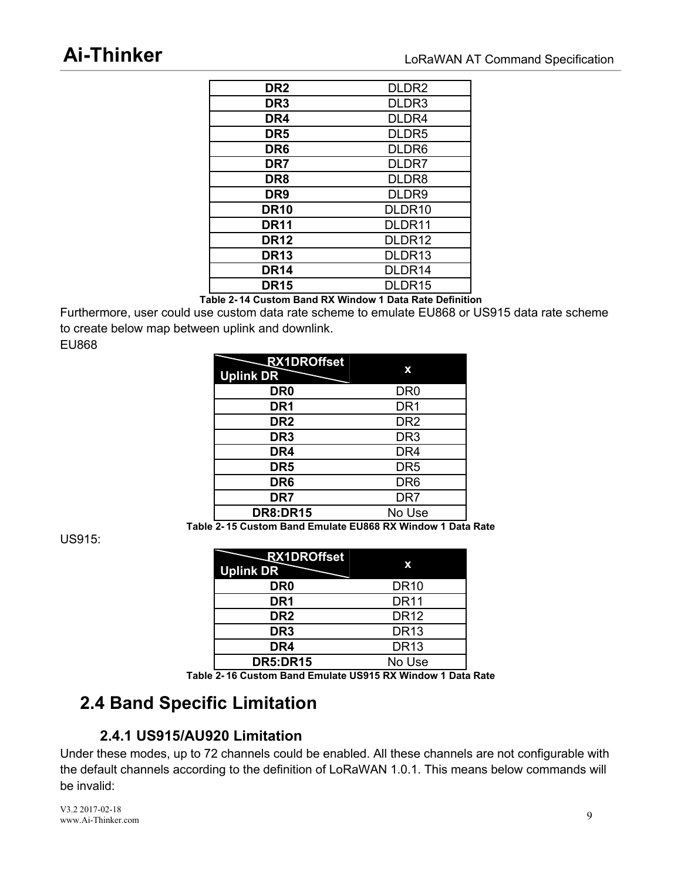<span id="page-13-3"></span><span id="page-13-2"></span><span id="page-13-1"></span><span id="page-13-0"></span>

| DR <sub>2</sub> | DLDR <sub>2</sub>  |
|-----------------|--------------------|
| DR <sub>3</sub> | DLDR3              |
| DR4             | DLDR4              |
| DR <sub>5</sub> | DLDR <sub>5</sub>  |
| DR <sub>6</sub> | DLDR <sub>6</sub>  |
| DR7             | DLDR7              |
| DR8             | DLDR8              |
| DR <sub>9</sub> | DLDR9              |
| <b>DR10</b>     | DLDR <sub>10</sub> |
| <b>DR11</b>     | DLDR11             |
| <b>DR12</b>     | DLDR <sub>12</sub> |
| <b>DR13</b>     | DLDR13             |
| <b>DR14</b>     | DLDR14             |
| <b>DR15</b>     | DLDR15             |
|                 | ------             |

**Table 2- 14 Custom Band RX Window 1 Data Rate Definition**

Furthermore, user could use custom data rate scheme to emulate EU868 or US915 data rate scheme to create below map between uplink and downlink.

EU868

| <b>RX1DROffset</b><br><b>Uplink DR</b> | x               |
|----------------------------------------|-----------------|
| DR <sub>0</sub>                        | DR <sub>0</sub> |
| DR <sub>1</sub>                        | DR <sub>1</sub> |
| DR <sub>2</sub>                        | DR <sub>2</sub> |
| DR <sub>3</sub>                        | DR <sub>3</sub> |
| DR4                                    | DR <sub>4</sub> |
| DR <sub>5</sub>                        | DR <sub>5</sub> |
| DR <sub>6</sub>                        | DR <sub>6</sub> |
| DR7                                    | DR7             |
| <b>DR8:DR15</b>                        | No Use          |

**Table 2- 15 Custom Band Emulate EU868 RX Window 1 Data Rate**

US915:

| <b>RX1DROffset</b><br><b>Uplink DR</b> | x           |
|----------------------------------------|-------------|
| DR <sub>0</sub>                        | <b>DR10</b> |
| DR <sub>1</sub>                        | <b>DR11</b> |
| DR <sub>2</sub>                        | <b>DR12</b> |
| DR <sub>3</sub>                        | <b>DR13</b> |
| DR4                                    | <b>DR13</b> |
| <b>DR5:DR15</b>                        | No Use      |

**Table 2- 16 Custom Band Emulate US915 RX Window 1 Data Rate**

# **2.4 Band Specific Limitation**

### **2.4.1 US915/AU920 Limitation**

Under these modes, up to 72 channels could be enabled. All these channels are not configurable with the default channels according to the definition of LoRaWAN 1.0.1. This means below commands will be invalid:

V3.2 2017-02-18 www.Ai-Thinker.com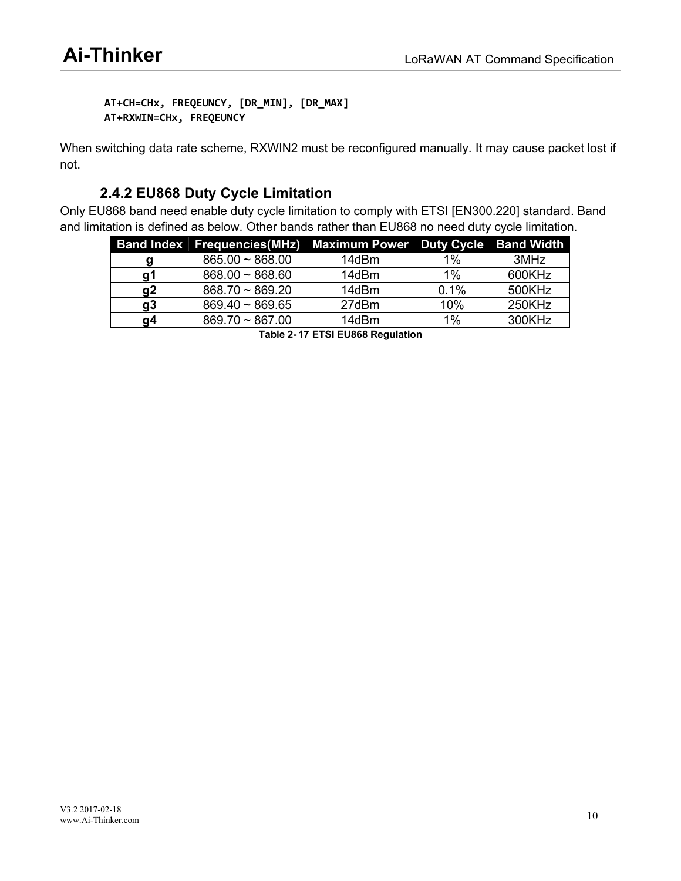<span id="page-14-1"></span><span id="page-14-0"></span>**AT+CH=CHx, FREQEUNCY, [DR\_MIN], [DR\_MAX] AT+RXWIN=CHx, FREQEUNCY**

When switching data rate scheme, RXWIN2 must be reconfigured manually. It may cause packet lost if not.

## **2.4.2 EU868 Duty Cycle Limitation**

Only EU868 band need enable duty cycle limitation to comply with ETSI [EN300.220] standard. Band and limitation is defined as below. Other bands rather than EU868 no need duty cycle limitation.

|    | Band Index Frequencies (MHz) Maximum Power Duty Cycle Band Width |       |      |        |
|----|------------------------------------------------------------------|-------|------|--------|
| α  | $865.00 \sim 868.00$                                             | 14dBm | 1%   | 3MHz   |
| α1 | $868.00 \sim 868.60$                                             | 14dBm | 1%   | 600KHz |
| q2 | $868.70 \sim 869.20$                                             | 14dBm | 0.1% | 500KHz |
| a3 | $869.40 \sim 869.65$                                             | 27dBm | 10%  | 250KHz |
| α4 | $869.70 \sim 867.00$                                             | 14dBm | 1%   | 300KHz |

**Table 2- 17 ETSI EU868 Regulation**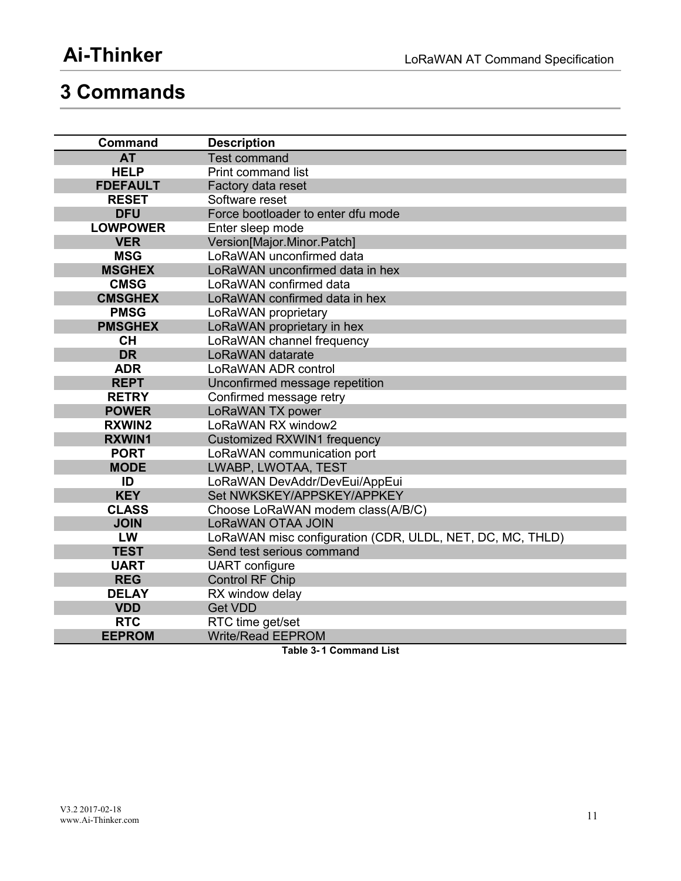# <span id="page-15-1"></span><span id="page-15-0"></span>**3 Commands**

| <b>Command</b>  | <b>Description</b>                                        |
|-----------------|-----------------------------------------------------------|
| <b>AT</b>       | <b>Test command</b>                                       |
| <b>HELP</b>     | <b>Print command list</b>                                 |
| <b>FDEFAULT</b> | Factory data reset                                        |
| <b>RESET</b>    | Software reset                                            |
| <b>DFU</b>      | Force bootloader to enter dfu mode                        |
| <b>LOWPOWER</b> | Enter sleep mode                                          |
| <b>VER</b>      | Version[Major.Minor.Patch]                                |
| <b>MSG</b>      | LoRaWAN unconfirmed data                                  |
| <b>MSGHEX</b>   | LoRaWAN unconfirmed data in hex                           |
| <b>CMSG</b>     | LoRaWAN confirmed data                                    |
| <b>CMSGHEX</b>  | LoRaWAN confirmed data in hex                             |
| <b>PMSG</b>     | LoRaWAN proprietary                                       |
| <b>PMSGHEX</b>  | LoRaWAN proprietary in hex                                |
| <b>CH</b>       | LoRaWAN channel frequency                                 |
| <b>DR</b>       | LoRaWAN datarate                                          |
| <b>ADR</b>      | LoRaWAN ADR control                                       |
| <b>REPT</b>     | Unconfirmed message repetition                            |
| <b>RETRY</b>    | Confirmed message retry                                   |
| <b>POWER</b>    | LoRaWAN TX power                                          |
| <b>RXWIN2</b>   | LoRaWAN RX window2                                        |
| <b>RXWIN1</b>   | <b>Customized RXWIN1 frequency</b>                        |
| <b>PORT</b>     | LoRaWAN communication port                                |
| <b>MODE</b>     | LWABP, LWOTAA, TEST                                       |
| ID              | LoRaWAN DevAddr/DevEui/AppEui                             |
| <b>KEY</b>      | Set NWKSKEY/APPSKEY/APPKEY                                |
| <b>CLASS</b>    | Choose LoRaWAN modem class(A/B/C)                         |
| <b>JOIN</b>     | LoRaWAN OTAA JOIN                                         |
| LW              | LoRaWAN misc configuration (CDR, ULDL, NET, DC, MC, THLD) |
| <b>TEST</b>     | Send test serious command                                 |
| <b>UART</b>     | <b>UART</b> configure                                     |
| <b>REG</b>      | <b>Control RF Chip</b>                                    |
| <b>DELAY</b>    | RX window delay                                           |
| <b>VDD</b>      | <b>Get VDD</b>                                            |
| <b>RTC</b>      | RTC time get/set                                          |
| <b>EEPROM</b>   | <b>Write/Read EEPROM</b>                                  |

**Table 3- 1 Command List**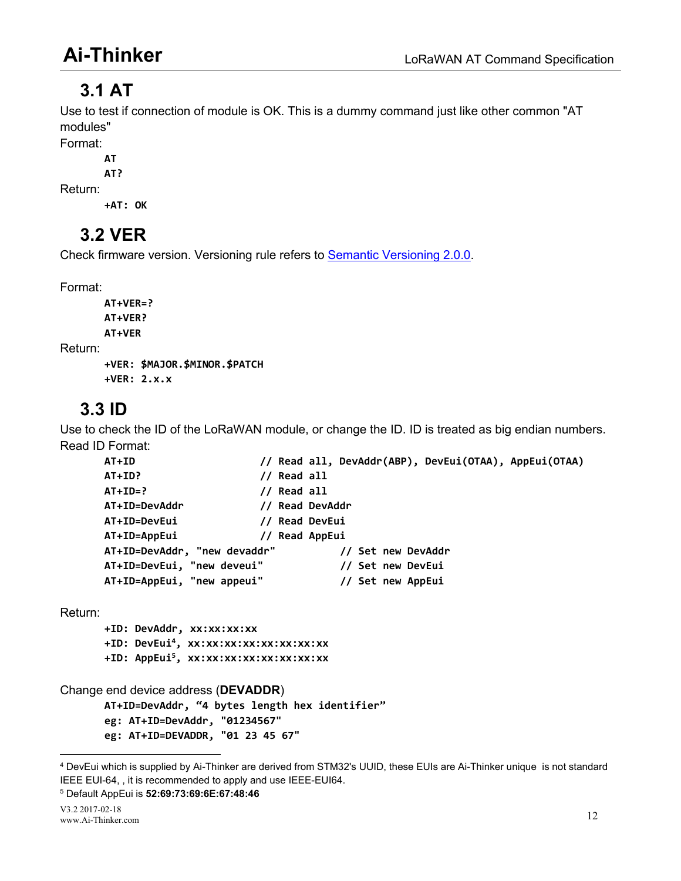# <span id="page-16-0"></span>**3.1 AT**

Use to test if connection of module is OK. This is a dummy command just like other common "AT modules"

Format:

**AT**

**AT?** Return:

**+AT: OK**

# **3.2 VER**

Check firmware version. Versioning rule refers to Semantic [Versioning](http://semver.org/) 2.0.0.

Format:

```
AT+VER=?
       AT+VER?
       AT+VER
Return:
       +VER: $MAJOR.$MINOR.$PATCH
       +VER: 2.x.x
```
# **3.3 ID**

Use to check the ID of the LoRaWAN module, or change the ID. ID is treated as big endian numbers. Read ID Format:

```
AT+ID // Read all, DevAddr(ABP), DevEui(OTAA), AppEui(OTAA)
AT+ID? // Read all
AT+ID=? // Read all
AT+ID=DevAddr // Read DevAddr
AT+ID=DevEui // Read DevEui
AT+ID=AppEui // Read AppEui
AT+ID=DevAddr, "new devaddr" // Set new DevAddr
AT+ID=DevEui, "new deveui" // Set new DevEui
AT+ID=AppEui, "new appeui" // Set new AppEui
```
Return:

**+ID: DevAddr, xx:xx:xx:xx +ID: DevEui [4](#page-16-1), xx:xx:xx:xx:xx:xx:xx:xx +ID: AppEui [5](#page-16-2), xx:xx:xx:xx:xx:xx:xx:xx**

Change end device address (**DEVADDR**)

**AT+ID=DevAddr, "4 bytes length hex identifier"**

**eg: AT+ID=DevAddr, "01234567"**

**eg: AT+ID=DEVADDR, "01 23 45 67"**

<span id="page-16-2"></span><sup>5</sup> Default AppEui is **52:69:73:69:6E:67:48:46**

<span id="page-16-1"></span><sup>4</sup> DevEui which issupplied by Ai-Thinker are derived from STM32's UUID, these EUIs are Ai-Thinker unique is not standard IEEE EUI-64, , it is recommended to apply and use IEEE-EUI64.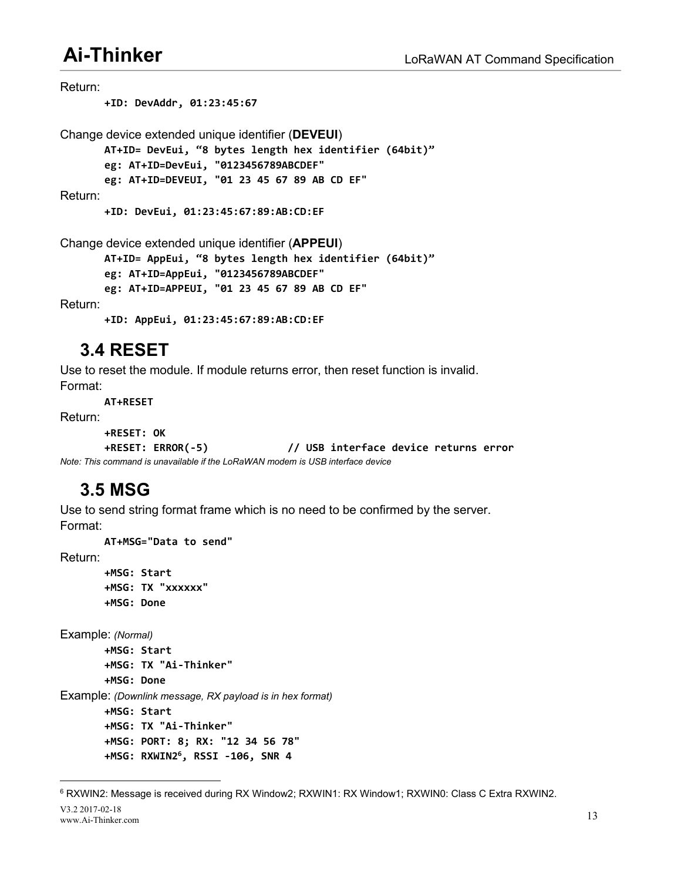<span id="page-17-0"></span>Return: **+ID: DevAddr, 01:23:45:67** Change device extended unique identifier (**DEVEUI**) **AT+ID= DevEui, "8 bytes length hex identifier (64bit)" eg: AT+ID=DevEui, "0123456789ABCDEF" eg: AT+ID=DEVEUI, "01 23 45 67 89 AB CD EF"** Return: **+ID: DevEui, 01:23:45:67:89:AB:CD:EF** Change device extended unique identifier (**APPEUI**) **AT+ID= AppEui, "8 bytes length hex identifier (64bit)"**

**eg: AT+ID=AppEui, "0123456789ABCDEF"**

**eg: AT+ID=APPEUI, "01 23 45 67 89 AB CD EF"**

Return:

**+ID: AppEui, 01:23:45:67:89:AB:CD:EF**

## **3.4 RESET**

Use to reset the module. If module returns error, then reset function is invalid. Format:

**AT+RESET**

Return:

```
+RESET: OK
```
**+RESET: ERROR(-5) // USB interface device returns error** *Note: This command is unavailable if the LoRaWAN modem is USB interface device*

# **3.5 MSG**

Use to send string format frame which is no need to be confirmed by the server. Format:

**AT+MSG="Data to send"**

Return:

**+MSG: Start +MSG: TX "xxxxxx" +MSG: Done**

Example: *(Normal)*

```
+MSG: Start
       +MSG: TX "Ai-Thinker"
       +MSG: Done
Example: (Downlink message, RX payload isin hex format)
       +MSG: Start
       +MSG: TX "Ai-Thinker"
       +MSG: PORT: 8; RX: "12 34 56 78"
```

```
+MSG: RXWIN2
6, RSSI -106, SNR 4
```
<span id="page-17-1"></span><sup>&</sup>lt;sup>6</sup> RXWIN2: Message is received during RX Window2; RXWIN1: RX Window1; RXWIN0: Class C Extra RXWIN2.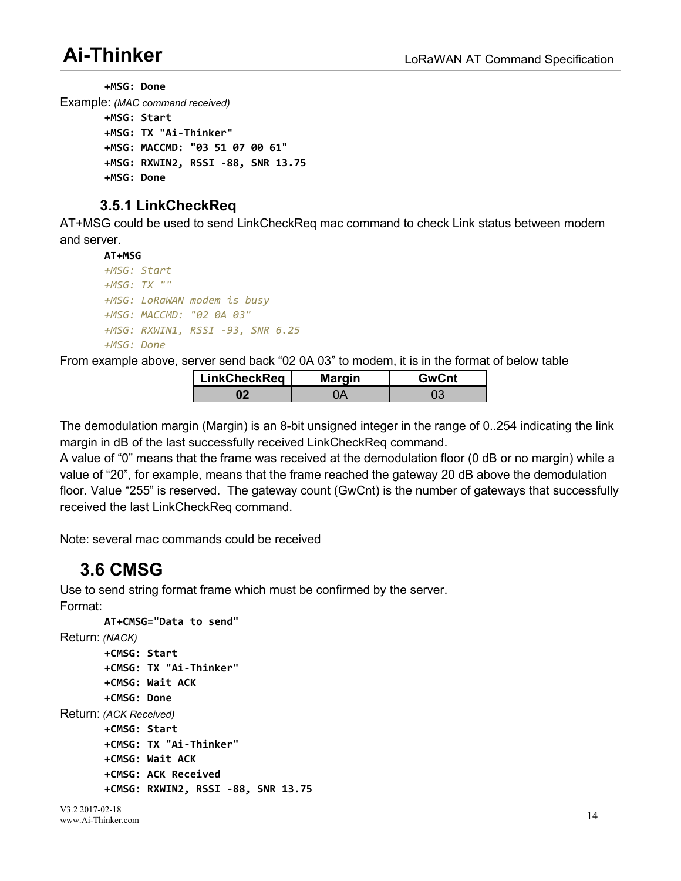<span id="page-18-1"></span><span id="page-18-0"></span>**+MSG: Done** Example: *(MAC command received)* **+MSG: Start +MSG: TX "Ai-Thinker" +MSG: MACCMD: "03 51 07 00 61" +MSG: RXWIN2, RSSI -88, SNR 13.75 +MSG: Done**

## **3.5.1 LinkCheckReq**

AT+MSG could be used to send LinkCheckReq mac command to check Link status between modem and server.

```
AT+MSG
+MSG: Start
+MSG: TX ""
+MSG: LoRaWAN modem is busy
+MSG: MACCMD: "02 0A 03"
+MSG: RXWIN1, RSSI -93, SNR 6.25
+MSG: Done
```
From example above, server send back "02 0A 03" to modem, it is in the format of below table

| LinkCheckReq | <b>Margin</b> | GwCnt |
|--------------|---------------|-------|
|              |               |       |

The demodulation margin (Margin) is an 8-bit unsigned integer in the range of 0..254 indicating the link margin in dB of the last successfully received LinkCheckReq command.

A value of "0" means that the frame was received at the demodulation floor (0 dB or no margin) while a value of "20", for example, means that the frame reached the gateway 20 dB above the demodulation floor. Value "255" is reserved. The gateway count (GwCnt) is the number of gateways that successfully received the last LinkCheckReq command.

Note: several mac commands could be received

# **3.6 CMSG**

Use to send string format frame which must be confirmed by the server. Format:

```
AT+CMSG="Data to send" Return: (NACK)
       +CMSG: Start
       +CMSG: TX "Ai-Thinker"
       +CMSG: Wait ACK
       +CMSG: Done
Return: (ACK Received)
       +CMSG: Start
       +CMSG: TX "Ai-Thinker"
       +CMSG: Wait ACK
       +CMSG: ACK Received
       +CMSG: RXWIN2, RSSI -88, SNR 13.75
```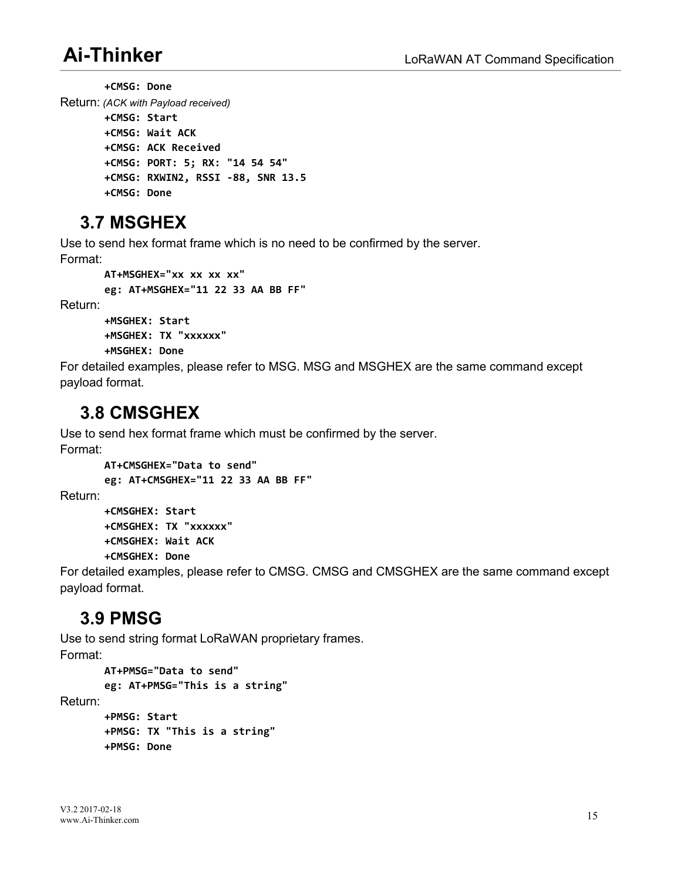<span id="page-19-0"></span>**+CMSG: Done** Return: *(ACK withPayload received)* **+CMSG: Start +CMSG: Wait ACK +CMSG: ACK Received +CMSG: PORT: 5; RX: "14 54 54" +CMSG: RXWIN2, RSSI -88, SNR 13.5 +CMSG: Done**

# **3.7 MSGHEX**

Use to send hex format frame which is no need to be confirmed by the server.

Format:

```
AT+MSGHEX="xx xx xx xx"
eg: AT+MSGHEX="11 22 33 AA BB FF"
```
Return:

```
+MSGHEX: Start
+MSGHEX: TX "xxxxxx"
```
**+MSGHEX: Done**

For detailed examples, please refer to MSG. MSG and MSGHEX are the same command except payload format.

## **3.8 CMSGHEX**

Use to send hex format frame which must be confirmed by the server.

Format:

```
AT+CMSGHEX="Data to send"
       eg: AT+CMSGHEX="11 22 33 AA BB FF" Return:
       +CMSGHEX: Start
```

```
+CMSGHEX: TX "xxxxxx"
+CMSGHEX: Wait ACK
+CMSGHEX: Done
```
For detailed examples, please refer to CMSG. CMSG and CMSGHEX are the same command except payload format.

# **3.9 PMSG**

Use to send string format LoRaWAN proprietary frames. Format:

```
AT+PMSG="Data to send"
       eg: AT+PMSG="This is a string" Return:
       +PMSG: Start
       +PMSG: TX "This is a string"
       +PMSG: Done
```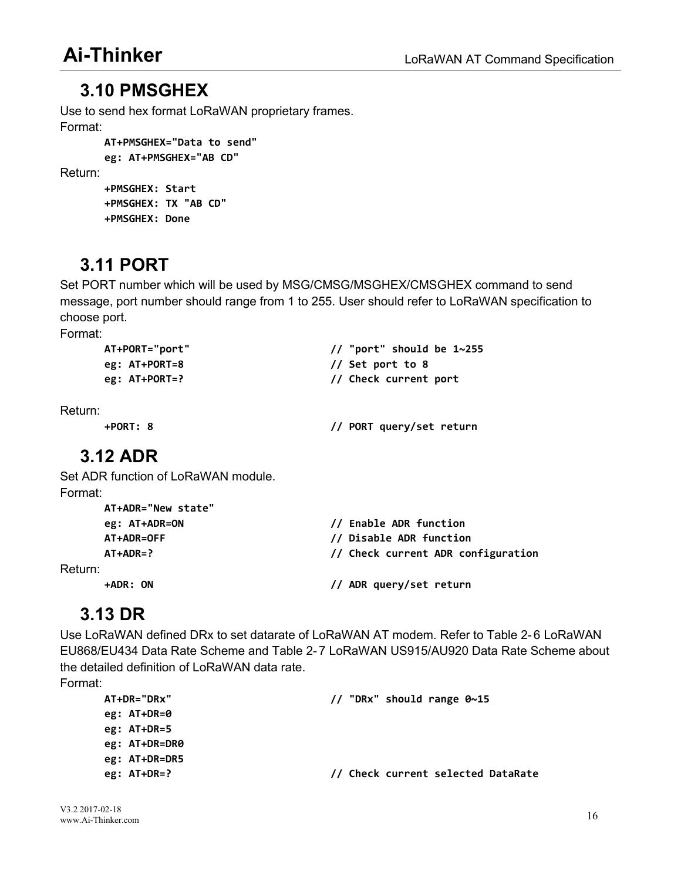## <span id="page-20-0"></span>**3.10 PMSGHEX**

Use to send hex format LoRaWAN proprietary frames. Format:

```
AT+PMSGHEX="Data to send"
eg: AT+PMSGHEX="AB CD" +PMSGHEX: Start
```
**+PMSGHEX: TX "AB CD"**

```
+PMSGHEX: Done
```
# **3.11 PORT**

Set PORT number which will be used by MSG/CMSG/MSGHEX/CMSGHEX command to send message, port number should range from 1 to 255. User should refer to LoRaWAN specification to choose port.

Format:

Return:

| AT+PORT="port"  | // "port" should be $1~255$ |
|-----------------|-----------------------------|
| eg: $AT+PORT=8$ | $\frac{1}{3}$ Set port to 8 |
| eg: $AT+PORT=?$ | // Check current port       |
|                 |                             |
| ì.              |                             |

Return:

**+PORT: 8 // PORT query/set return**

# **3.12 ADR**

Set ADR function of LoRaWAN module. Format:

| AT+ADR="New state" |                                        |
|--------------------|----------------------------------------|
| eg: AT+ADR=ON      | // Enable ADR function                 |
| AT+ADR=OFF         | // Disable ADR function                |
| $AT+ADR=?$         | // Check current ADR configuration     |
| Return:            |                                        |
| +ADR: ON           | ADR query/set return<br>$\prime\prime$ |

# **3.13 DR**

Use LoRaWAN defined DRx to set datarate of LoRaWAN AT modem. Refer to Table 2-6 LoRaWAN EU868/EU434 Data Rate Scheme and Table 2- 7 LoRaWAN US915/AU920 Data Rate Scheme about the detailed definition of LoRaWAN data rate.

Format:

| $AT+DR="DRX"$ | // "DRx" should range $0~15$       |
|---------------|------------------------------------|
| eg: $AT+DR=0$ |                                    |
| eg: $AT+DR=5$ |                                    |
| eg: AT+DR=DR0 |                                    |
| eg: AT+DR=DR5 |                                    |
| eg: $AT+DR=?$ | // Check current selected DataRate |
|               |                                    |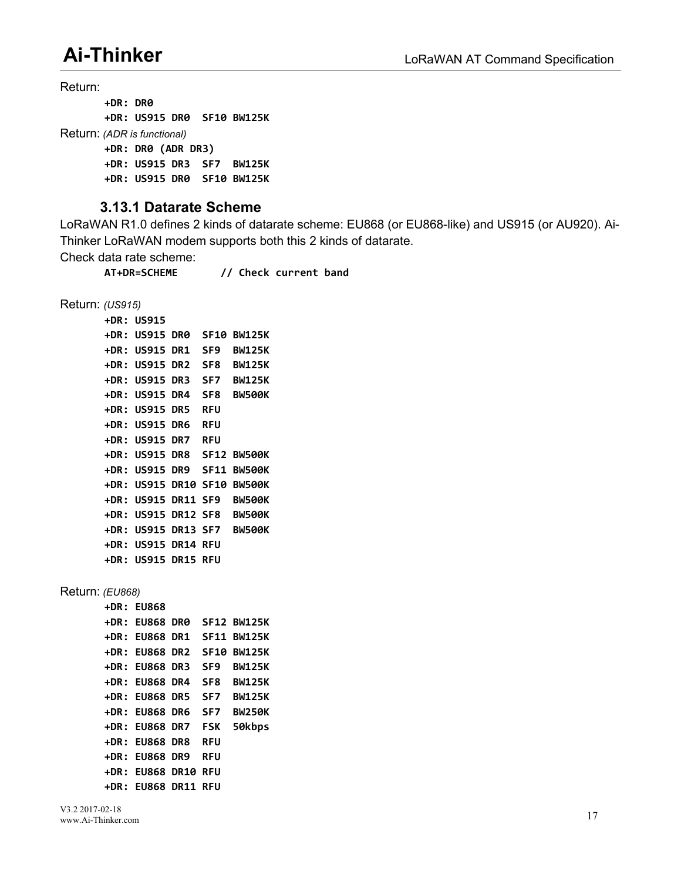<span id="page-21-0"></span>Return:

```
+DR: DR0
       +DR: US915 DR0 SF10 BW125K
Return: (ADR is functional)
       +DR: DR0 (ADR DR3)
       +DR: US915 DR3 SF7 BW125K
       +DR: US915 DR0 SF10 BW125K
```
#### **3.13.1 Datarate Scheme**

LoRaWAN R1.0 defines 2 kinds of datarate scheme: EU868 (or EU868-like) and US915 (or AU920). Ai- Thinker LoRaWAN modem supports both this 2 kinds of datarate.

Check data rate scheme:

**AT+DR=SCHEME // Check current band**

Return: *(US915)*

**+DR: US915 +DR: US915 DR0 SF10 BW125K +DR: US915 DR1 SF9 BW125K +DR: US915 DR2 SF8 BW125K +DR: US915 DR3 SF7 BW125K +DR: US915 DR4 SF8 BW500K +DR: US915 DR5 RFU +DR: US915 DR6 RFU +DR: US915 DR7 RFU +DR: US915 DR8 SF12 BW500K +DR: US915 DR9 SF11 BW500K +DR: US915 DR10 SF10 BW500K +DR: US915 DR11 SF9 BW500K +DR: US915 DR12 SF8 BW500K +DR: US915 DR13 SF7 BW500K +DR: US915 DR14 RFU +DR: US915 DR15 RFU**

Return: *(EU868)*

| <b>+DR: EU868</b>          |            |                                   |
|----------------------------|------------|-----------------------------------|
|                            |            | +DR: EU868 DR0 SF12 BW125K        |
|                            |            | <b>+DR: EU868 DR1 SF11 BW125K</b> |
| <b>+DR: EU868 DR2</b>      |            | <b>SF10 BW125K</b>                |
| <b>+DR: EU868 DR3</b>      | SF9        | <b>BW125K</b>                     |
| <b>+DR: EU868 DR4</b>      |            | SF8 BW125K                        |
| <b>+DR: EU868 DR5</b>      | SF7        | <b>BW125K</b>                     |
| <b>+DR: EU868 DR6 SF7</b>  |            | <b>BW250K</b>                     |
| +DR: EU868 DR7 FSK         |            | 50kbps                            |
| <b>+DR: EU868 DR8</b>      | <b>RFU</b> |                                   |
| <b>+DR: EU868 DR9</b>      | <b>RFU</b> |                                   |
| <b>+DR: EU868 DR10 RFU</b> |            |                                   |
| <b>+DR: EU868 DR11 RFU</b> |            |                                   |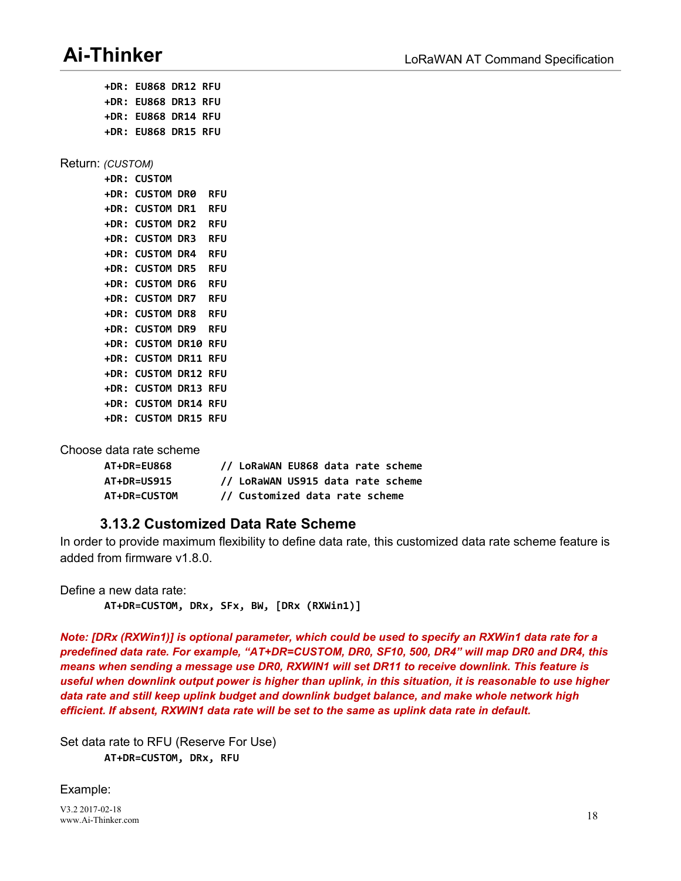**+DR: EU868 DR13 RFU +DR: EU868 DR14 RFU +DR: EU868 DR15 RFU** Return: *(CUSTOM)* **+DR: CUSTOM +DR: CUSTOM DR0 RFU +DR: CUSTOM DR1 RFU +DR: CUSTOM DR2 RFU +DR: CUSTOM DR3 RFU +DR: CUSTOM DR4 RFU +DR: CUSTOM DR5 RFU +DR: CUSTOM DR6 RFU +DR: CUSTOM DR7 RFU +DR: CUSTOM DR8 RFU +DR: CUSTOM DR9 RFU +DR: CUSTOM DR10 RFU +DR: CUSTOM DR11 RFU +DR: CUSTOM DR12 RFU +DR: CUSTOM DR13 RFU +DR: CUSTOM DR14 RFU +DR: CUSTOM DR15 RFU**

<span id="page-22-0"></span>**+DR: EU868 DR12 RFU**

Choose data rate scheme

| AT+DR=EU868         | // LoRaWAN EU868 data rate scheme |
|---------------------|-----------------------------------|
| <b>AT+DR=US915</b>  | // LoRaWAN US915 data rate scheme |
| <b>AT+DR=CUSTOM</b> | // Customized data rate scheme    |

#### **3.13.2 Customized Data Rate Scheme**

In order to provide maximum flexibility to define data rate, this customized data rate scheme feature is added from firmware v1.8.0.

Define a new data rate: **AT+DR=CUSTOM, DRx, SFx, BW, [DRx (RXWin1)]**

Note: [DRx (RXWin1)] is optional parameter, which could be used to specify an RXWin1 data rate for a *predefined data rate. For example, "AT+DR=CUSTOM, DR0, SF10, 500, DR4" will map DR0 and DR4, this means when sending a message use DR0, RXWIN1 will set DR11 to receive downlink. This feature is* useful when downlink output power is higher than uplink, in this situation, it is reasonable to use higher *data rate and still keep uplink budget and downlink budget balance, and make whole network high efficient. If absent, RXWIN1 data rate will be set to the same as uplink data rate in default.*

Set data rate to RFU (Reserve For Use) **AT+DR=CUSTOM, DRx, RFU**

Example:

V3.2 2017-02-18 www.Ai-Thinker.com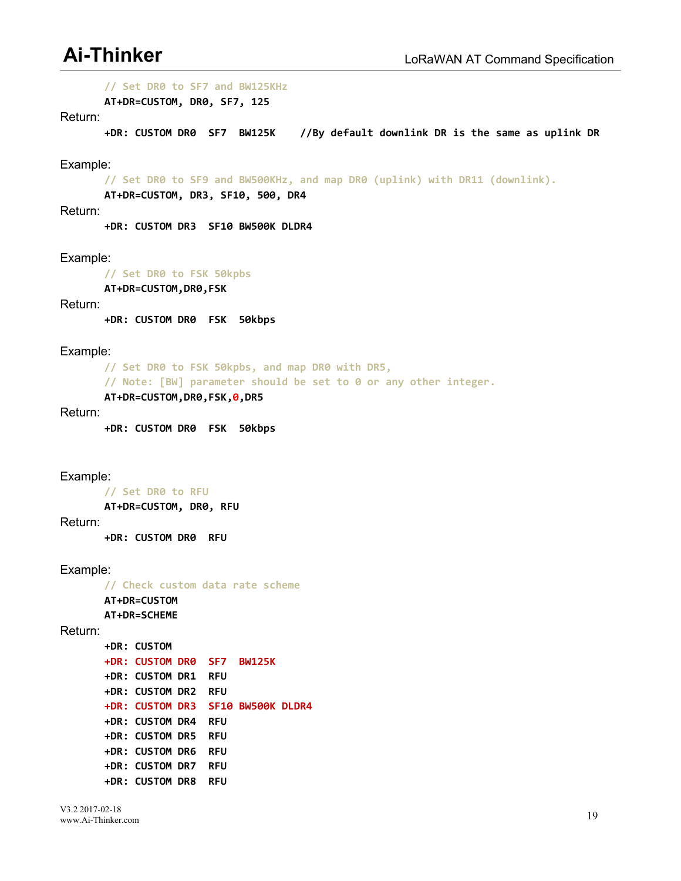**// Set DR0 to SF7 and BW125KHz**

**AT+DR=CUSTOM, DR0, SF7, 125**

#### Return:

**+DR: CUSTOM DR0 SF7 BW125K //By default downlink DR is the same as uplink DR**

#### Example:

**// Set DR0 to SF9 and BW500KHz, and map DR0 (uplink) with DR11 (downlink).**

**AT+DR=CUSTOM, DR3, SF10, 500, DR4**

Return:

**+DR: CUSTOM DR3 SF10 BW500K DLDR4**

Example:

**// Set DR0 to FSK 50kpbs**

**AT+DR=CUSTOM,DR0,FSK**

#### Return:

**+DR: CUSTOM DR0 FSK 50kbps**

Example:

**// Set DR0 to FSK 50kpbs, and map DR0 with DR5, // Note: [BW] parameter should be set to 0 or any other integer. AT+DR=CUSTOM,DR0,FSK,0,DR5**

#### Return:

**+DR: CUSTOM DR0 FSK 50kbps**

#### Example:

**// Set DR0 to RFU AT+DR=CUSTOM, DR0, RFU**

Return:

**+DR: CUSTOM DR0 RFU**

#### Example:

**// Check custom data rate scheme AT+DR=CUSTOM AT+DR=SCHEME**

```
Return:
```
**+DR: CUSTOM +DR: CUSTOM DR0 SF7 BW125K +DR: CUSTOM DR1 RFU +DR: CUSTOM DR2 RFU +DR: CUSTOM DR3 SF10 BW500K DLDR4 +DR: CUSTOM DR4 RFU +DR: CUSTOM DR5 RFU +DR: CUSTOM DR6 RFU +DR: CUSTOM DR7 RFU +DR: CUSTOM DR8 RFU**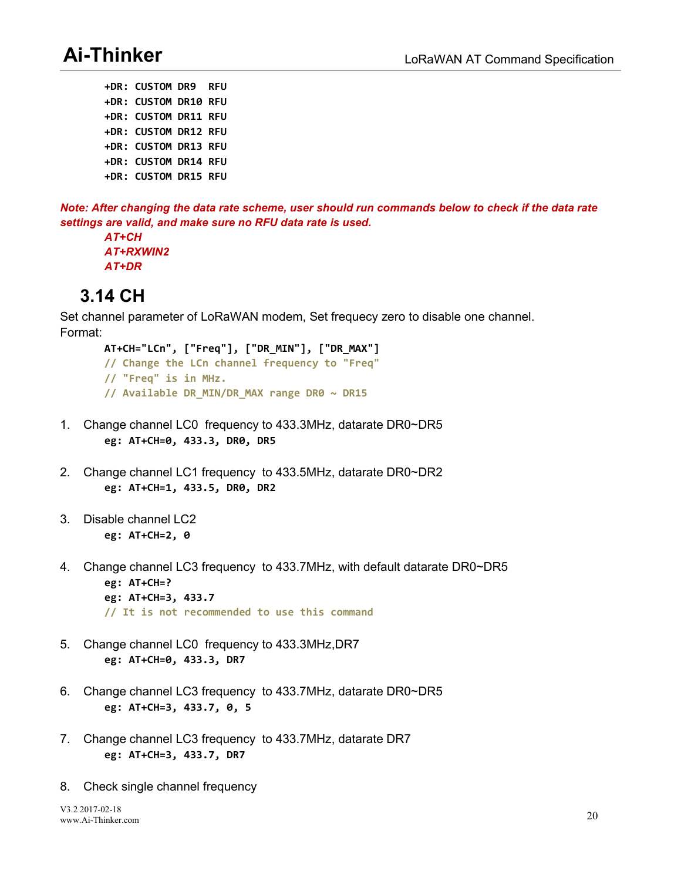<span id="page-24-0"></span>**+DR: CUSTOM DR9 RFU +DR: CUSTOM DR10 RFU +DR: CUSTOM DR11 RFU +DR: CUSTOM DR12 RFU +DR: CUSTOM DR13 RFU +DR: CUSTOM DR14 RFU +DR: CUSTOM DR15 RFU**

Note: After changing the data rate scheme, user should run commands below to check if the data rate *settings are valid, and make sure no RFU data rate is used.AT+CH*

*AT+RXWIN2 AT+DR*

## **3.14 CH**

Set channel parameter of LoRaWAN modem, Set frequecy zero to disable one channel. Format:

- **AT+CH="LCn", ["Freq"], ["DR\_MIN"], ["DR\_MAX"] // Change the LCn channel frequency to "Freq" // "Freq" is in MHz. // Available DR\_MIN/DR\_MAX range DR0 ~ DR15**
- 1. Change channel LC0 frequency to 433.3MHz, datarate DR0~DR5 **eg: AT+CH=0, 433.3, DR0, DR5**
- 2. Change channel LC1 frequency to 433.5MHz, datarate DR0~DR2 **eg: AT+CH=1, 433.5, DR0, DR2**
- 3. Disable channel LC2 **eg: AT+CH=2, 0**
- 4. Change channel LC3 frequency to 433.7MHz, with default datarate DR0~DR5 **eg: AT+CH=? eg: AT+CH=3, 433.7 // It is not recommended to use this command**
- 5. Change channel LC0 frequency to 433.3MHz,DR7 **eg: AT+CH=0, 433.3, DR7**
- 6. Change channel LC3 frequency to 433.7MHz, datarate DR0~DR5 **eg: AT+CH=3, 433.7, 0, 5**
- 7. Change channel LC3 frequency to 433.7MHz, datarate DR7 **eg: AT+CH=3, 433.7, DR7**
- 8. Check single channel frequency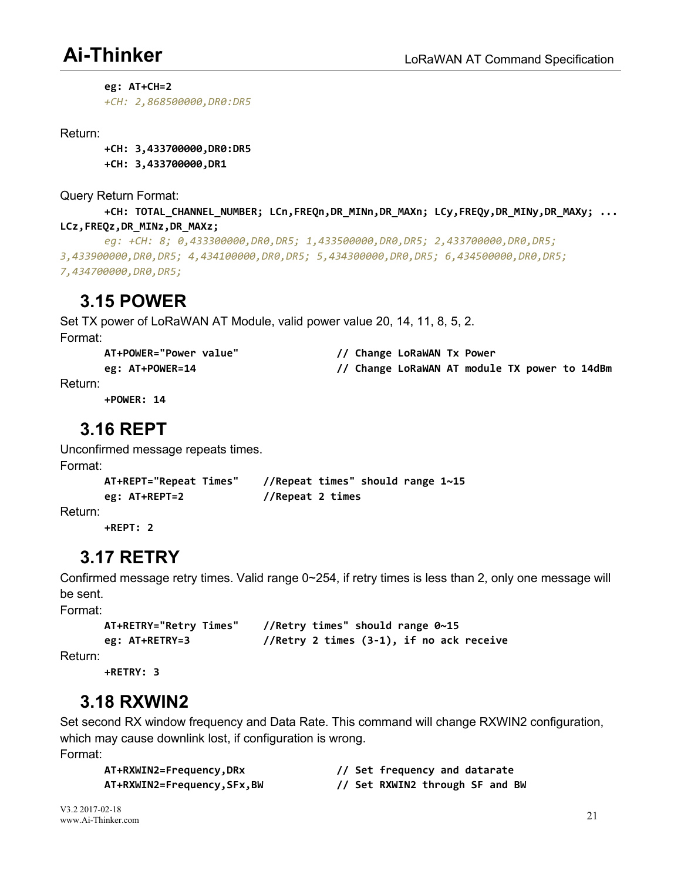<span id="page-25-0"></span>**eg: AT+CH=2**

*+CH: 2,868500000,DR0:DR5*

Return:

**+CH: 3,433700000,DR0:DR5 +CH: 3,433700000,DR1**

Query Return Format:

**+CH: TOTAL\_CHANNEL\_NUMBER; LCn,FREQn,DR\_MINn,DR\_MAXn; LCy,FREQy,DR\_MINy,DR\_MAXy; ... LCz,FREQz,DR\_MINz,DR\_MAXz;**

```
eg: +CH: 8; 0,433300000,DR0,DR5; 1,433500000,DR0,DR5; 2,433700000,DR0,DR5;
3,433900000,DR0,DR5; 4,434100000,DR0,DR5; 5,434300000,DR0,DR5; 6,434500000,DR0,DR5;
7,434700000,DR0,DR5;
```
## **3.15 POWER**

Set TX power of LoRaWAN AT Module, valid power value 20, 14, 11, 8, 5, 2. Format:

| AT+POWER="Power value" | // Change LoRaWAN Tx Power                    |
|------------------------|-----------------------------------------------|
| eg: AT+POWER=14        | // Change LoRaWAN AT module TX power to 14dBm |

Return:

**+POWER: 14**

## **3.16 REPT**

Unconfirmed message repeats times.

Format:

```
AT+REPT="Repeat Times" //Repeat times" should range 1~15
eg: AT+REPT=2 //Repeat 2 times
```
Return:

**+REPT: 2**

## **3.17 RETRY**

Confirmed message retry times. Valid range 0~254, if retry times is less than 2, only one message will be sent.

Format:

```
AT+RETRY="Retry Times" //Retry times" should range 0~15
eg: AT+RETRY=3 //Retry 2 times (3-1), if no ack receive
```
Return:

**+RETRY: 3**

## **3.18 RXWIN2**

Set second RX window frequency and Data Rate. This command will change RXWIN2 configuration, which may cause downlink lost, if configuration is wrong. Format:

|           | AT+RXWIN2=Frequency, DRx |  |
|-----------|--------------------------|--|
| --------- |                          |  |

**AT+RXWIN2=Frequency,DRx // Set frequency and datarate AT+RXWIN2=Frequency,SFx,BW // Set RXWIN2 through SF and BW**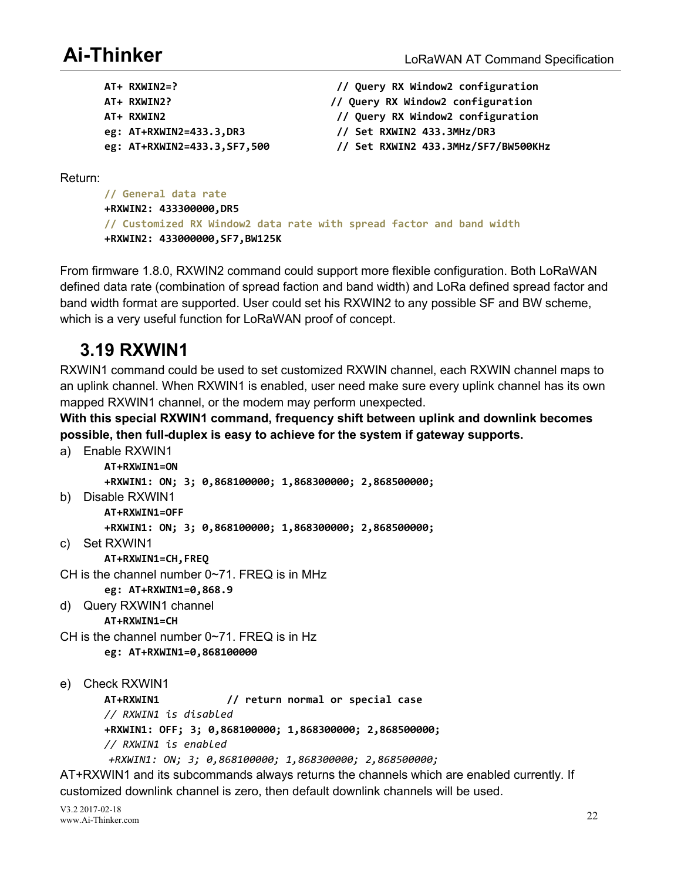<span id="page-26-0"></span>

| $AT+ RXWIN2=?$                | // Query RX Window2 configuration   |
|-------------------------------|-------------------------------------|
| AT+ RXWIN2?                   | // Query RX Window2 configuration   |
| AT+ RXWIN2                    | // Query RX Window2 configuration   |
| eg: $AT+RXWIN2=433.3, DR3$    | // Set RXWIN2 433.3MHz/DR3          |
| eg: AT+RXWIN2=433.3, SF7, 500 | // Set RXWIN2 433.3MHz/SF7/BW500KHz |

Return:

**// General data rate +RXWIN2: 433300000,DR5 // Customized RX Window2 data rate with spread factor and band width +RXWIN2: 433000000,SF7,BW125K**

From firmware 1.8.0, RXWIN2 command could support more flexible configuration. Both LoRaWAN defined data rate (combination of spread faction and band width) and LoRa defined spread factor and band width format are supported. User could set his RXWIN2 to any possible SF and BW scheme, which is a very useful function for LoRaWAN proof of concept.

## **3.19 RXWIN1**

RXWIN1 command could be used to set customized RXWIN channel, each RXWIN channel maps to an uplink channel. When RXWIN1 is enabled, user need make sure every uplink channel has its own mapped RXWIN1 channel, or the modem may perform unexpected.

**With this special RXWIN1 command,frequency shift between uplink and downlink becomes possible, then full-duplex is easy to achieve for the system if gateway supports.**

a) Enable RXWIN1

**AT+RXWIN1=ON +RXWIN1: ON; 3; 0,868100000; 1,868300000; 2,868500000;**

b) Disable RXWIN1

**AT+RXWIN1=OFF**

**+RXWIN1: ON; 3; 0,868100000; 1,868300000; 2,868500000;**

c) Set RXWIN1

**AT+RXWIN1=CH,FREQ**

CH is the channel number 0~71. FREQ is in MHz

**eg: AT+RXWIN1=0,868.9**

d) Query RXWIN1 channel

**AT+RXWIN1=CH**

CH is the channel number 0~71. FREQ is in Hz

**eg: AT+RXWIN1=0,868100000**

e) Check RXWIN1

**AT+RXWIN1 // return normal or special case**

*// RXWIN1 is disabled*

**+RXWIN1: OFF; 3; 0,868100000; 1,868300000; 2,868500000;**

*// RXWIN1 is enabled*

*+RXWIN1: ON; 3; 0,868100000; 1,868300000; 2,868500000;*

AT+RXWIN1 and its subcommands always returns the channels which are enabled currently. If customized downlink channel is zero, then default downlink channels will be used.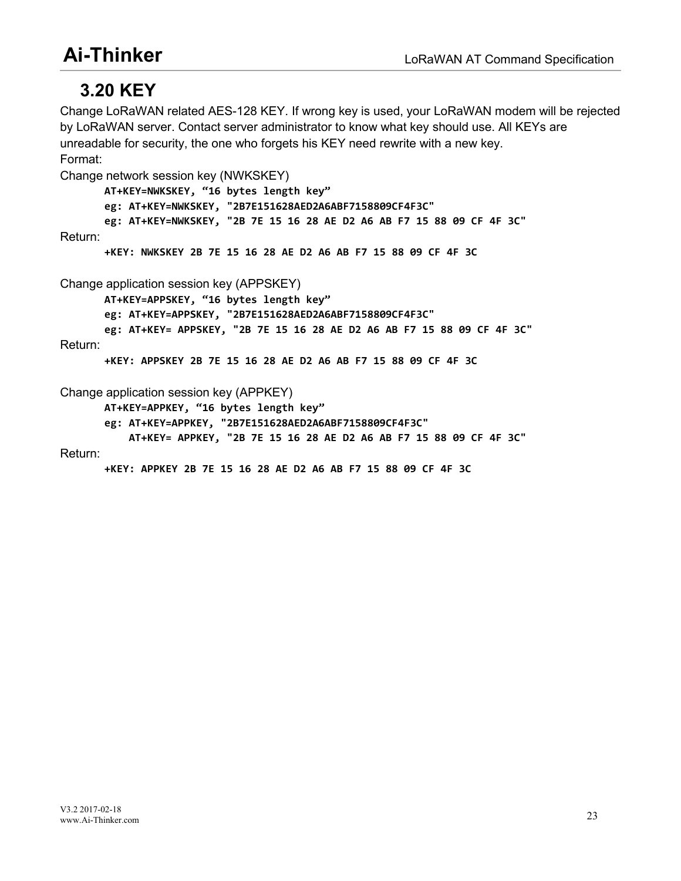## <span id="page-27-0"></span>**3.20 KEY**

Change LoRaWAN related AES-128 KEY. If wrong key is used, your LoRaWAN modem will be rejected by LoRaWAN server. Contact server administrator to know what keyshould use. All KEYs are unreadable for security, the one who forgets his KEY need rewrite with a new key. Format:

```
Change network session key (NWKSKEY)
       AT+KEY=NWKSKEY, "16 bytes length key"
       eg: AT+KEY=NWKSKEY, "2B7E151628AED2A6ABF7158809CF4F3C"
       eg: AT+KEY=NWKSKEY, "2B 7E 15 16 28 AE D2 A6 AB F7 15 88 09 CF 4F 3C" Return:
       +KEY: NWKSKEY 2B 7E 15 16 28 AE D2 A6 AB F7 15 88 09 CF 4F 3C
Change application session key (APPSKEY)
       AT+KEY=APPSKEY, "16 bytes length key"
       eg: AT+KEY=APPSKEY, "2B7E151628AED2A6ABF7158809CF4F3C"
       eg: AT+KEY= APPSKEY, "2B 7E 15 16 28 AE D2 A6 AB F7 15 88 09 CF 4F 3C" Return:
       +KEY: APPSKEY 2B 7E 15 16 28 AE D2 A6 AB F7 15 88 09 CF 4F 3C
Change application session key (APPKEY)
       AT+KEY=APPKEY, "16 bytes length key"
       eg: AT+KEY=APPKEY, "2B7E151628AED2A6ABF7158809CF4F3C"
           AT+KEY= APPKEY, "2B 7E 15 16 28 AE D2 A6 AB F7 15 88 09 CF 4F 3C"
```
#### Return:

**+KEY: APPKEY 2B 7E 15 16 28 AE D2 A6 AB F7 15 88 09 CF 4F 3C**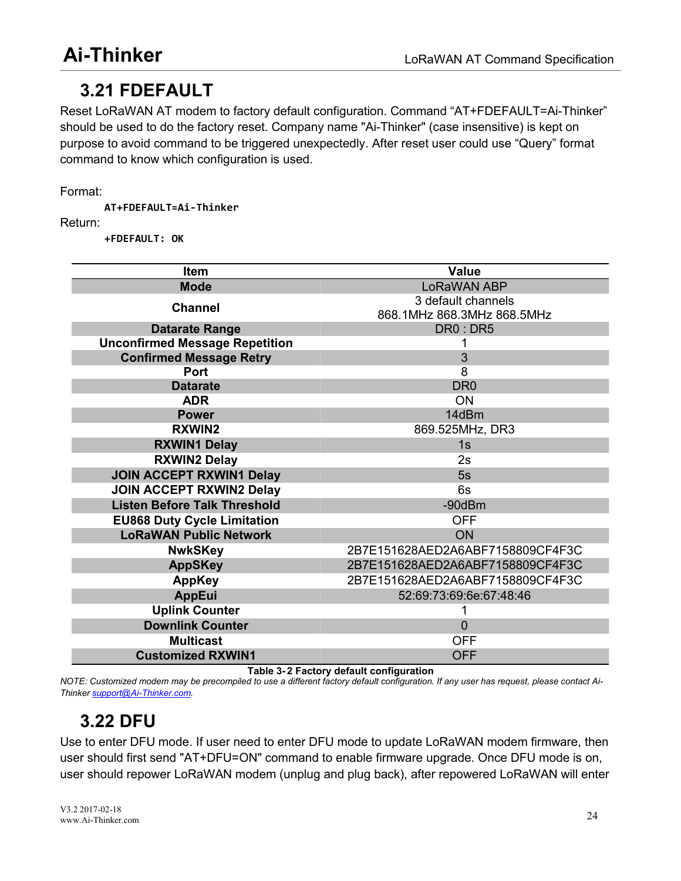# <span id="page-28-1"></span><span id="page-28-0"></span>**3.21 FDEFAULT**

Reset LoRaWAN AT modem to factory default configuration. Command "AT+FDEFAULT=Ai-Thinker" should be used to do the factory reset. Company name "Ai-Thinker" (case insensitive) is kept on purpose to avoid command to be triggered unexpectedly. After reset user could use "Query" format command to know which configuration is used.

Format:

**AT+FDEFAULT=Ai-Thinker**

Return:

**+FDEFAULT: OK**

| <b>Value</b><br><b>Item</b><br><b>Mode</b><br>LoRaWAN ABP<br>3 default channels<br><b>Channel</b><br>868.1MHz 868.3MHz 868.5MHz<br><b>Datarate Range</b><br>DR0: DR5<br><b>Unconfirmed Message Repetition</b><br><b>Confirmed Message Retry</b><br>3<br>8<br>Port<br><b>Datarate</b><br>DR <sub>0</sub><br><b>ON</b><br><b>ADR</b><br>14dBm<br><b>Power</b><br><b>RXWIN2</b><br>869.525MHz, DR3<br><b>RXWIN1 Delay</b><br>1s<br><b>RXWIN2 Delay</b><br>2s<br><b>JOIN ACCEPT RXWIN1 Delay</b><br>5s<br><b>JOIN ACCEPT RXWIN2 Delay</b><br>6s<br><b>Listen Before Talk Threshold</b><br>$-90$ d $Bm$<br><b>EU868 Duty Cycle Limitation</b><br><b>OFF</b><br><b>LoRaWAN Public Network</b><br><b>ON</b><br>2B7E151628AED2A6ABF7158809CF4F3C<br><b>NwkSKey</b><br>2B7E151628AED2A6ABF7158809CF4F3C<br><b>AppSKey</b><br>2B7E151628AED2A6ABF7158809CF4F3C<br><b>AppKey</b><br><b>AppEui</b><br>52:69:73:69:6e:67:48:46<br><b>Uplink Counter</b><br><b>Downlink Counter</b><br>0<br><b>Multicast</b><br><b>OFF</b><br><b>Customized RXWIN1</b><br><b>OFF</b> |  |
|--------------------------------------------------------------------------------------------------------------------------------------------------------------------------------------------------------------------------------------------------------------------------------------------------------------------------------------------------------------------------------------------------------------------------------------------------------------------------------------------------------------------------------------------------------------------------------------------------------------------------------------------------------------------------------------------------------------------------------------------------------------------------------------------------------------------------------------------------------------------------------------------------------------------------------------------------------------------------------------------------------------------------------------------------------|--|
|                                                                                                                                                                                                                                                                                                                                                                                                                                                                                                                                                                                                                                                                                                                                                                                                                                                                                                                                                                                                                                                        |  |
|                                                                                                                                                                                                                                                                                                                                                                                                                                                                                                                                                                                                                                                                                                                                                                                                                                                                                                                                                                                                                                                        |  |
|                                                                                                                                                                                                                                                                                                                                                                                                                                                                                                                                                                                                                                                                                                                                                                                                                                                                                                                                                                                                                                                        |  |
|                                                                                                                                                                                                                                                                                                                                                                                                                                                                                                                                                                                                                                                                                                                                                                                                                                                                                                                                                                                                                                                        |  |
|                                                                                                                                                                                                                                                                                                                                                                                                                                                                                                                                                                                                                                                                                                                                                                                                                                                                                                                                                                                                                                                        |  |
|                                                                                                                                                                                                                                                                                                                                                                                                                                                                                                                                                                                                                                                                                                                                                                                                                                                                                                                                                                                                                                                        |  |
|                                                                                                                                                                                                                                                                                                                                                                                                                                                                                                                                                                                                                                                                                                                                                                                                                                                                                                                                                                                                                                                        |  |
|                                                                                                                                                                                                                                                                                                                                                                                                                                                                                                                                                                                                                                                                                                                                                                                                                                                                                                                                                                                                                                                        |  |
|                                                                                                                                                                                                                                                                                                                                                                                                                                                                                                                                                                                                                                                                                                                                                                                                                                                                                                                                                                                                                                                        |  |
|                                                                                                                                                                                                                                                                                                                                                                                                                                                                                                                                                                                                                                                                                                                                                                                                                                                                                                                                                                                                                                                        |  |
|                                                                                                                                                                                                                                                                                                                                                                                                                                                                                                                                                                                                                                                                                                                                                                                                                                                                                                                                                                                                                                                        |  |
|                                                                                                                                                                                                                                                                                                                                                                                                                                                                                                                                                                                                                                                                                                                                                                                                                                                                                                                                                                                                                                                        |  |
|                                                                                                                                                                                                                                                                                                                                                                                                                                                                                                                                                                                                                                                                                                                                                                                                                                                                                                                                                                                                                                                        |  |
|                                                                                                                                                                                                                                                                                                                                                                                                                                                                                                                                                                                                                                                                                                                                                                                                                                                                                                                                                                                                                                                        |  |
|                                                                                                                                                                                                                                                                                                                                                                                                                                                                                                                                                                                                                                                                                                                                                                                                                                                                                                                                                                                                                                                        |  |
|                                                                                                                                                                                                                                                                                                                                                                                                                                                                                                                                                                                                                                                                                                                                                                                                                                                                                                                                                                                                                                                        |  |
|                                                                                                                                                                                                                                                                                                                                                                                                                                                                                                                                                                                                                                                                                                                                                                                                                                                                                                                                                                                                                                                        |  |
|                                                                                                                                                                                                                                                                                                                                                                                                                                                                                                                                                                                                                                                                                                                                                                                                                                                                                                                                                                                                                                                        |  |
|                                                                                                                                                                                                                                                                                                                                                                                                                                                                                                                                                                                                                                                                                                                                                                                                                                                                                                                                                                                                                                                        |  |
|                                                                                                                                                                                                                                                                                                                                                                                                                                                                                                                                                                                                                                                                                                                                                                                                                                                                                                                                                                                                                                                        |  |
|                                                                                                                                                                                                                                                                                                                                                                                                                                                                                                                                                                                                                                                                                                                                                                                                                                                                                                                                                                                                                                                        |  |
|                                                                                                                                                                                                                                                                                                                                                                                                                                                                                                                                                                                                                                                                                                                                                                                                                                                                                                                                                                                                                                                        |  |
|                                                                                                                                                                                                                                                                                                                                                                                                                                                                                                                                                                                                                                                                                                                                                                                                                                                                                                                                                                                                                                                        |  |
|                                                                                                                                                                                                                                                                                                                                                                                                                                                                                                                                                                                                                                                                                                                                                                                                                                                                                                                                                                                                                                                        |  |
|                                                                                                                                                                                                                                                                                                                                                                                                                                                                                                                                                                                                                                                                                                                                                                                                                                                                                                                                                                                                                                                        |  |
|                                                                                                                                                                                                                                                                                                                                                                                                                                                                                                                                                                                                                                                                                                                                                                                                                                                                                                                                                                                                                                                        |  |
|                                                                                                                                                                                                                                                                                                                                                                                                                                                                                                                                                                                                                                                                                                                                                                                                                                                                                                                                                                                                                                                        |  |

**Table 3- 2 Factory default configuration**

NOTE: Customized modem may be precompiled to use a different factory default configuration. If any user has request, please contact Ai-*Thinker [support@Ai-Thinker.com](file:///E:/Semtech/Customer/RISINGHF/project/rhf3m076/20151128-test-report-yuhai/support@risinghf.com).*

# **3.22 DFU**

Use to enter DFU mode. If user need to enter DFU mode to update LoRaWAN modem firmware, then user should first send "AT+DFU=ON" command to enable firmware upgrade. Once DFU mode is on, user should repower LoRaWAN modem (unplug and plug back), after repowered LoRaWAN will enter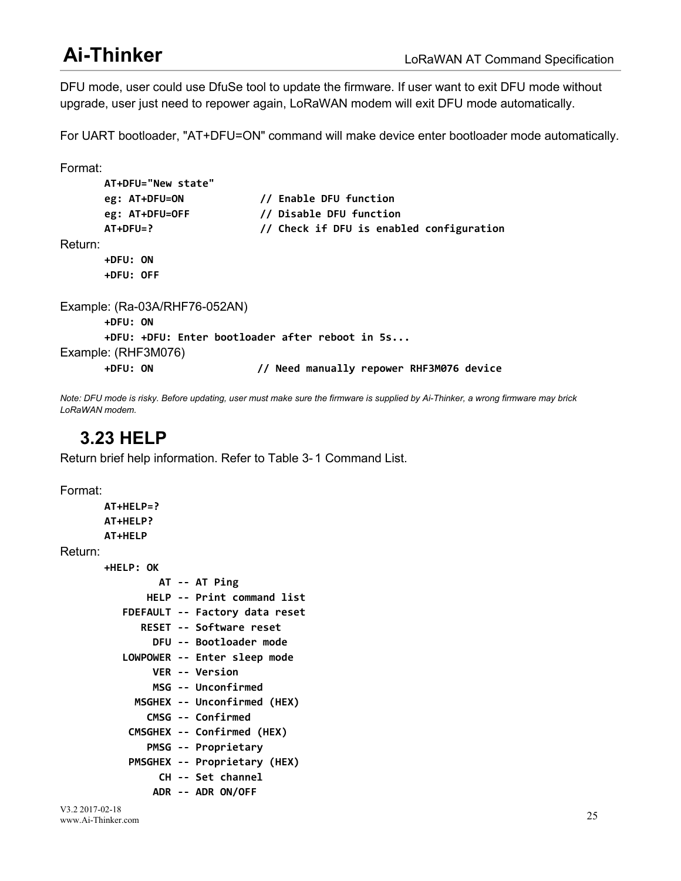<span id="page-29-0"></span>DFU mode, user could use DfuSe tool to update the firmware. If user want to exit DFU mode without upgrade, user just need to repower again, LoRaWAN modem will exit DFU mode automatically.

For UART bootloader, "AT+DFU=ON" command will make device enter bootloader mode automatically.

```
Format:
      AT+DFU="New state"
      eg: AT+DFU=ON // Enable DFU function
      eg: AT+DFU=OFF // Disable DFU function
      AT+DFU=? // Check if DFU is enabled configuration
Return:
      +DFU: ON
      +DFU: OFF
Example: (Ra-03A/RHF76-052AN)
      +DFU: ON
      +DFU: +DFU: Enter bootloader after reboot in 5s... Example: (RHF3M076)
      +DFU: ON // Need manually repower RHF3M076 device
```
Note: DFU mode is risky. Before updating, user must make sure the firmware is supplied by Ai-Thinker, a wrong firmware may brick *LoRaWAN modem.*

## **3.23 HELP**

Return brief help information. Refer to Table 3- 1 Command List.

Format:

```
AT+HELP=?
       AT+HELP?
       AT+HELP
Return:
       +HELP: OK
                AT -- AT Ping
              HELP -- Print command list
          FDEFAULT -- Factory data reset
             RESET -- Software reset
               DFU -- Bootloader mode
          LOWPOWER -- Enter sleep mode
               VER -- Version
               MSG -- Unconfirmed
            MSGHEX -- Unconfirmed (HEX)
              CMSG -- Confirmed
           CMSGHEX -- Confirmed (HEX)
              PMSG -- Proprietary
           PMSGHEX -- Proprietary (HEX)
                CH -- Set channel
               ADR -- ADR ON/OFF
```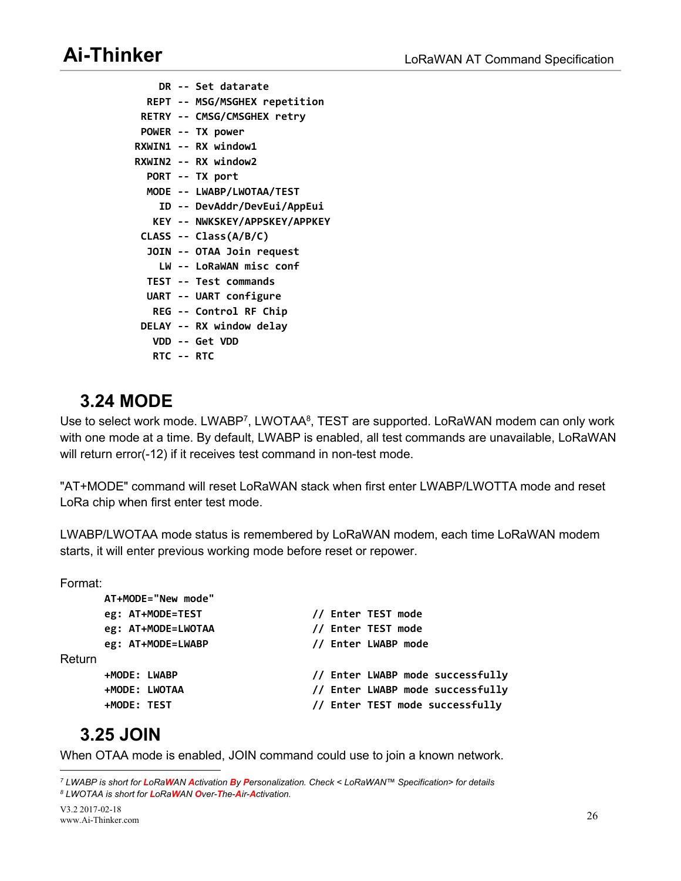<span id="page-30-0"></span>**DR -- Set datarate REPT -- MSG/MSGHEX repetition RETRY -- CMSG/CMSGHEX retry POWER -- TX power RXWIN1 -- RX window1 RXWIN2 -- RX window2 PORT -- TX port MODE -- LWABP/LWOTAA/TEST ID -- DevAddr/DevEui/AppEui KEY -- NWKSKEY/APPSKEY/APPKEY CLASS -- Class(A/B/C) JOIN -- OTAA Join request LW -- LoRaWAN misc conf TEST -- Test commands UART -- UART configure REG -- Control RF Chip DELAY -- RX window delay VDD -- Get VDD RTC -- RTC**

## **3.24 MODE**

Use to select work mode. LWABP<sup>[7](#page-30-1)</sup>, LWOTAA<sup>[8](#page-30-2)</sup>, TEST are supported. LoRaWAN modem can only work with one mode at a time. By default, LWABP is enabled, all test commands are unavailable, LoRaWAN will return error(-12) if it receives test command in non-test mode.

"AT+MODE" command will reset LoRaWAN stack when first enter LWABP/LWOTTA mode and reset LoRa chip when first enter test mode.

LWABP/LWOTAA mode status is remembered by LoRaWAN modem, each time LoRaWAN modem starts, it will enter previous working mode before reset or repower.

Format:

|        | AT+MODE="New mode" |  |                                  |
|--------|--------------------|--|----------------------------------|
|        | eg: AT+MODE=TEST   |  | // Enter TEST mode               |
|        | eg: AT+MODE=LWOTAA |  | // Enter TEST mode               |
|        | eg: AT+MODE=LWABP  |  | // Enter LWABP mode              |
| Return |                    |  |                                  |
|        | +MODE: LWABP       |  | // Enter LWABP mode successfully |
|        | +MODE: LWOTAA      |  | // Enter LWABP mode successfully |
|        | +MODE: TEST        |  | // Enter TEST mode successfully  |
|        |                    |  |                                  |

## **3.25 JOIN**

When OTAA mode is enabled, JOIN command could use to join a known network.

<span id="page-30-2"></span><span id="page-30-1"></span><sup>7</sup> LWABP is short for LoRaWAN Activation By Personalization. Check < LoRaWAN™ Specification> for details *<sup>8</sup> LWOTAA is short for LoRaWAN Over-The-Air-Activation.*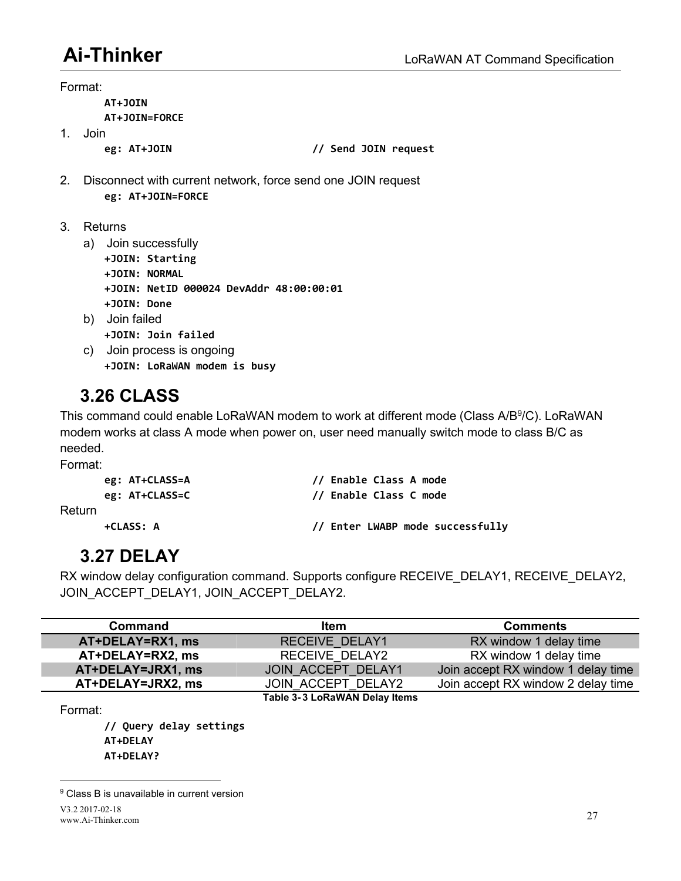Format:

<span id="page-31-1"></span><span id="page-31-0"></span>**AT+JOIN**

**AT+JOIN=FORCE**

1. Join

**eg: AT+JOIN // Send JOIN request**

- 2. Disconnect with current network, force send one JOIN request **eg: AT+JOIN=FORCE**
- 3. Returns
	- a) Join successfully
		- **+JOIN: Starting**
		- **+JOIN: NORMAL**
		- **+JOIN: NetID 000024 DevAddr 48:00:00:01**
		- **+JOIN: Done**
	- b) Join failed **+JOIN: Join failed**
	- c) Join process is ongoing **+JOIN: LoRaWAN modem is busy**

# **3.26 CLASS**

This command could enable LoRaWAN modem to work at different mode (Class A/B<sup>[9](#page-31-2)</sup>/C). LoRaWAN modem works at class A mode when power on, user need manually switch mode to class B/C as needed.

Format:

# **3.27 DELAY**

RX window delay configuration command. Supports configure RECEIVE\_DELAY1, RECEIVE\_DELAY2, JOIN\_ACCEPT\_DELAY1, JOIN\_ACCEPT\_DELAY2.

| Command           | <b>Item</b>                   | <b>Comments</b>                    |
|-------------------|-------------------------------|------------------------------------|
| AT+DELAY=RX1, ms  | <b>RECEIVE DELAY1</b>         | RX window 1 delay time             |
| AT+DELAY=RX2, ms  | RECEIVE DELAY2                | RX window 1 delay time             |
| AT+DELAY=JRX1, ms | JOIN ACCEPT DELAY1            | Join accept RX window 1 delay time |
| AT+DELAY=JRX2, ms | JOIN ACCEPT DELAY2            | Join accept RX window 2 delay time |
|                   | Table 3-3 LoRaWAN Delay Items |                                    |

```
Format:
```
**// Query delay settings AT+DELAY AT+DELAY?**

<span id="page-31-2"></span><sup>&</sup>lt;sup>9</sup> Class B is unavailable in current version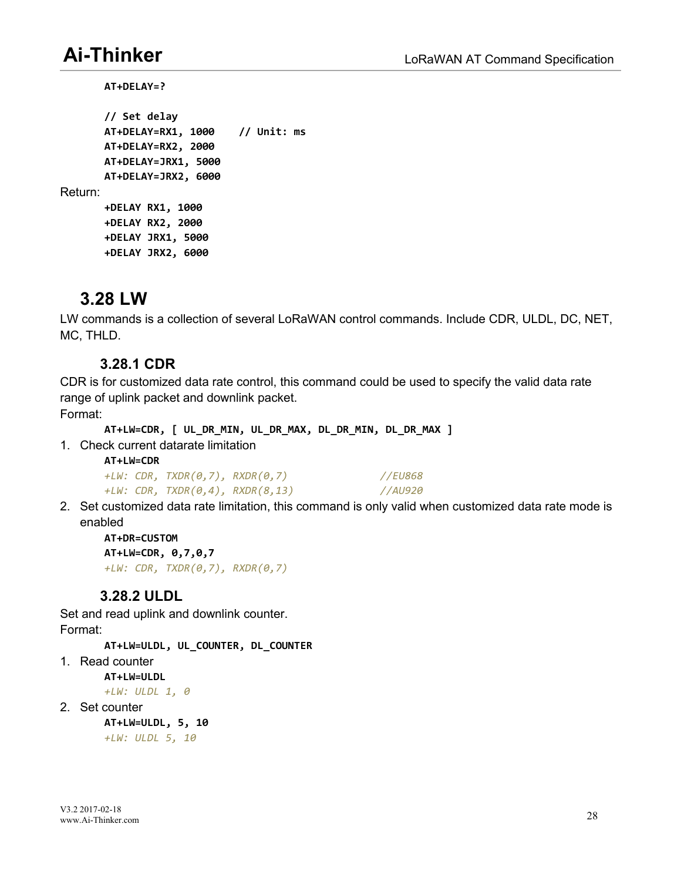<span id="page-32-1"></span><span id="page-32-0"></span>**AT+DELAY=?**

```
// Set delay
       AT+DELAY=RX1, 1000 // Unit: ms
       AT+DELAY=RX2, 2000
       AT+DELAY=JRX1, 5000
       AT+DELAY=JRX2, 6000
Return:
       +DELAY RX1, 1000
       +DELAY RX2, 2000
       +DELAY JRX1, 5000
       +DELAY JRX2, 6000
```
## **3.28 LW**

LW commands is a collection of several LoRaWAN control commands. Include CDR, ULDL, DC, NET, MC, THLD.

### **3.28.1 CDR**

CDR is for customized data rate control, this command could be used to specify the valid data rate range of uplink packet and downlink packet.

Format:

```
AT+LW=CDR, [ UL_DR_MIN, UL_DR_MAX, DL_DR_MIN, DL_DR_MAX ]
```
1. Check current datarate limitation

| AT+LW=CDR |                                                |         |
|-----------|------------------------------------------------|---------|
|           | +LW: $CDR, TXDR(0,7), RXDR(0,7)$               | //EU868 |
|           | +LW: $CDR$ , $TXDR(\theta, 4)$ , $RXDR(8, 13)$ | //AU920 |

2. Set customized data rate limitation, this command is only valid when customized data rate mode is enabled

**AT+DR=CUSTOM AT+LW=CDR, 0,7,0,7** *+LW: CDR, TXDR(0,7), RXDR(0,7)*

### **3.28.2 ULDL**

Set and read uplink and downlink counter. Format:

**AT+LW=ULDL, UL\_COUNTER, DL\_COUNTER**

1. Read counter

**AT+LW=ULDL**

*+LW: ULDL 1, 0*

2. Set counter

**AT+LW=ULDL, 5, 10** *+LW: ULDL 5, 10*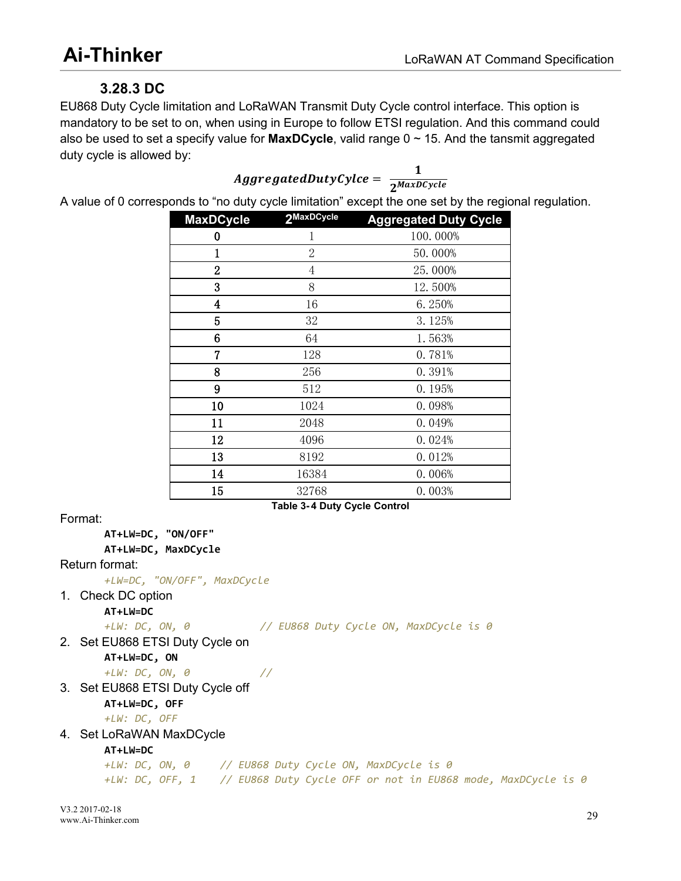## <span id="page-33-0"></span>**3.28.3 DC**

EU868 Duty Cycle limitation and LoRaWAN Transmit Duty Cycle control interface. This option is mandatory to be set to on, when using in Europe to follow ETSI regulation. And this command could also be used to set a specify value for **MaxDCycle**, valid range 0 ~ 15. And the tansmit aggregated duty cycle is allowed by:

<span id="page-33-1"></span>
$$
AggregatedDutyCycle = \frac{1}{2^{MaxDCycle}}
$$

A value of 0 corresponds to "no duty cycle limitation" except the one set by the regional regulation.

| <b>MaxDCycle</b>        | 2MaxDCycle                          | <b>Aggregated Duty Cycle</b> |
|-------------------------|-------------------------------------|------------------------------|
| $\bf{0}$                | 1                                   | 100.000%                     |
|                         | $\overline{2}$                      | 50.000%                      |
| $\overline{2}$          | $\overline{4}$                      | 25.000%                      |
| $\overline{3}$          | 8                                   | 12.500%                      |
| $\overline{\mathbf{4}}$ | 16                                  | 6.250%                       |
| 5                       | 32                                  | 3.125%                       |
| 6                       | 64                                  | 1.563%                       |
| 7                       | 128                                 | 0.781%                       |
| 8                       | 256                                 | 0.391%                       |
| 9                       | 512                                 | 0.195%                       |
| 10                      | 1024                                | 0.098%                       |
| 11                      | 2048                                | 0.049%                       |
| 12                      | 4096                                | 0.024%                       |
| 13                      | 8192                                | 0.012%                       |
| 14                      | 16384                               | 0.006%                       |
| 15                      | 32768                               | 0.003%                       |
|                         | <b>Table 3-4 Duty Cycle Control</b> |                              |

Format:

**AT+LW=DC, "ON/OFF"**

**AT+LW=DC, MaxDCycle**

Return format:

*+LW=DC, "ON/OFF", MaxDCycle*

1. Check DC option

**AT+LW=DC**

*+LW: DC, ON, 0 // EU868 Duty Cycle ON, MaxDCycle is 0*

2. Set EU868 ETSI Duty Cycle on **AT+LW=DC, ON**

*+LW: DC, ON, 0 //*

3. Set EU868 ETSI Duty Cycle off

**AT+LW=DC, OFF**

*+LW: DC, OFF*

4. Set LoRaWAN MaxDCycle

**AT+LW=DC**

*+LW: DC, ON, 0 // EU868 Duty Cycle ON, MaxDCycle is 0 +LW: DC, OFF, 1 // EU868 Duty Cycle OFF or not in EU868 mode, MaxDCycle is 0*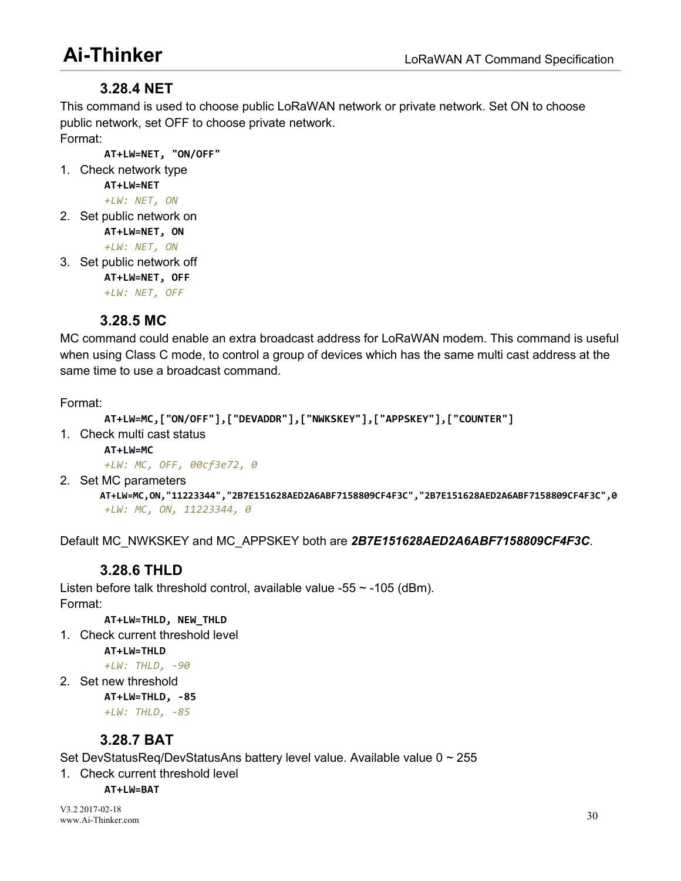### <span id="page-34-0"></span>**3.28.4 NET**

This command is used to choose public LoRaWAN network or private network. Set ON to choose public network, set OFF to choose private network. Format:

**AT+LW=NET, "ON/OFF"**

```
1. Check network type
```
**AT+LW=NET**

- *+LW: NET, ON* 2. Set public network on
	- **AT+LW=NET, ON**

*+LW: NET, ON*

- 3. Set public network off
	- **AT+LW=NET, OFF**

*+LW: NET, OFF*

### **3.28.5 MC**

MC command could enable an extra broadcast address for LoRaWAN modem. This command is useful when using Class C mode, to control a group of devices which has the same multi cast address at the same time to use a broadcast command.

Format:

```
AT+LW=MC,["ON/OFF"],["DEVADDR"],["NWKSKEY"],["APPSKEY"],["COUNTER"]
```
1. Check multi cast status

**AT+LW=MC**

```
+LW: MC, OFF, 00cf3e72, 0
```
2. Set MC parameters

**AT+LW=MC,ON,"11223344","2B7E151628AED2A6ABF7158809CF4F3C","2B7E151628AED2A6ABF7158809CF4F3C",0** *+LW: MC, ON, 11223344, 0*

Default MC\_NWKSKEY and MC\_APPSKEY both are *2B7E151628AED2A6ABF7158809CF4F3C*.

### **3.28.6 THLD**

Listen before talk threshold control, available value -55  $\sim$  -105 (dBm). Format:

**AT+LW=THLD, NEW\_THLD**

1. Check current threshold level

**AT+LW=THLD** *+LW: THLD, -90*

- 
- 2. Set new threshold

**AT+LW=THLD, -85** *+LW: THLD, -85*

### **3.28.7 BAT**

Set DevStatusReq/DevStatusAns battery level value. Available value 0 ~ 255

1. Check current threshold level

**AT+LW=BAT**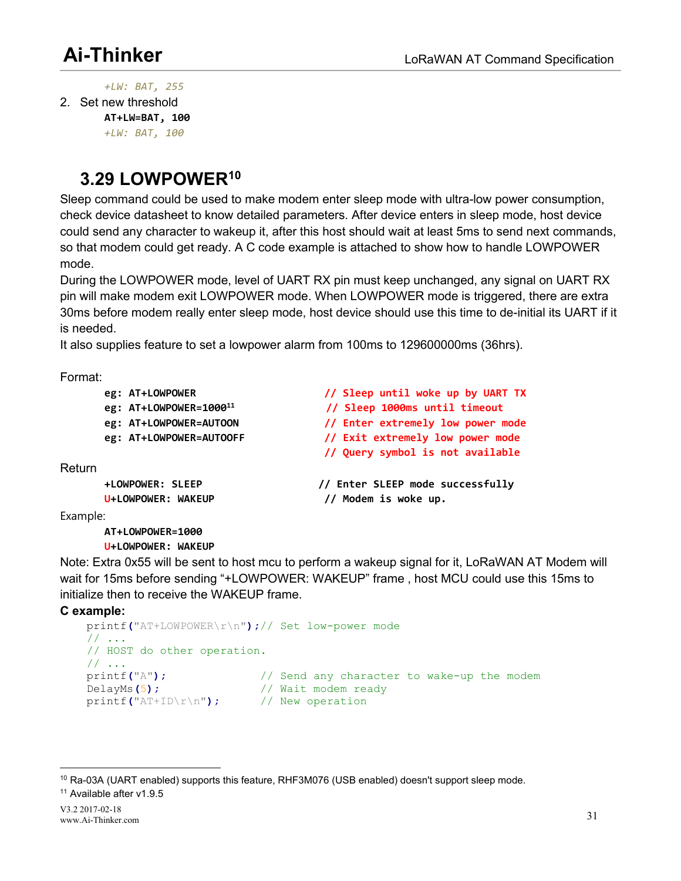<span id="page-35-0"></span>*+LW: BAT, 255*

2. Set new threshold **AT+LW=BAT, 100**

*+LW: BAT, 100*

# **3.29 LOWPOWER[10](#page-35-1)**

Sleep command could be used to make modem enter sleep mode with ultra-low power consumption, check device datasheet to know detailed parameters. After device enters in sleep mode, host device could send any character to wakeup it, after this host should wait at least 5ms to send next commands, so that modem could get ready. A C code example is attached to show how to handle LOWPOWER mode.

During the LOWPOWER mode, level of UART RX pin must keep unchanged, any signal on UART RX pin will make modem exit LOWPOWER mode. When LOWPOWER mode is triggered, there are extra 30ms before modem really enter sleep mode, host device should use this time to de-initial its UART if it is needed.

It also supplies feature to set a lowpower alarm from 100ms to 129600000ms (36hrs).

Format:

|          | eg: AT+LOWPOWER<br>eg: AT+LOWPOWER=1000 <sup>11</sup> | // Sleep until woke up by UART TX<br>// Sleep 1000ms until timeout |
|----------|-------------------------------------------------------|--------------------------------------------------------------------|
|          |                                                       |                                                                    |
|          | eg: AT+LOWPOWER=AUTOON                                | // Enter extremely low power mode                                  |
|          | eg: AT+LOWPOWER=AUTOOFF                               | // Exit extremely low power mode                                   |
|          |                                                       | // Query symbol is not available                                   |
| Return   |                                                       |                                                                    |
|          | +LOWPOWER: SLEEP                                      | // Enter SLEEP mode successfully                                   |
|          | U+LOWPOWER: WAKEUP                                    | // Modem is woke up.                                               |
| Example: |                                                       |                                                                    |

**AT+LOWPOWER=1000 U+LOWPOWER: WAKEUP**

Note: Extra 0x55 will be sent to host mcu to perform a wakeup signal for it, LoRaWAN AT Modem will wait for 15ms before sending "+LOWPOWER: WAKEUP" frame , host MCU could use this 15ms to initialize then to receive the WAKEUP frame.

#### **C example:**

```
printf("AT+LOWPOWER\r\n");// Set low-power mode
// ...
// HOST do other operation.
// \ldots<br>printf("A");
                        // Send any character to wake-up the modem
DelayMs(5); // Wait modem ready
printf("AT+ID\r\n"); // New operation
```
<span id="page-35-1"></span><sup>&</sup>lt;sup>10</sup> Ra-03A (UART enabled) supports this feature, RHF3M076 (USB enabled) doesn't support sleep mode.

<span id="page-35-2"></span><sup>11</sup> Available after v1.9.5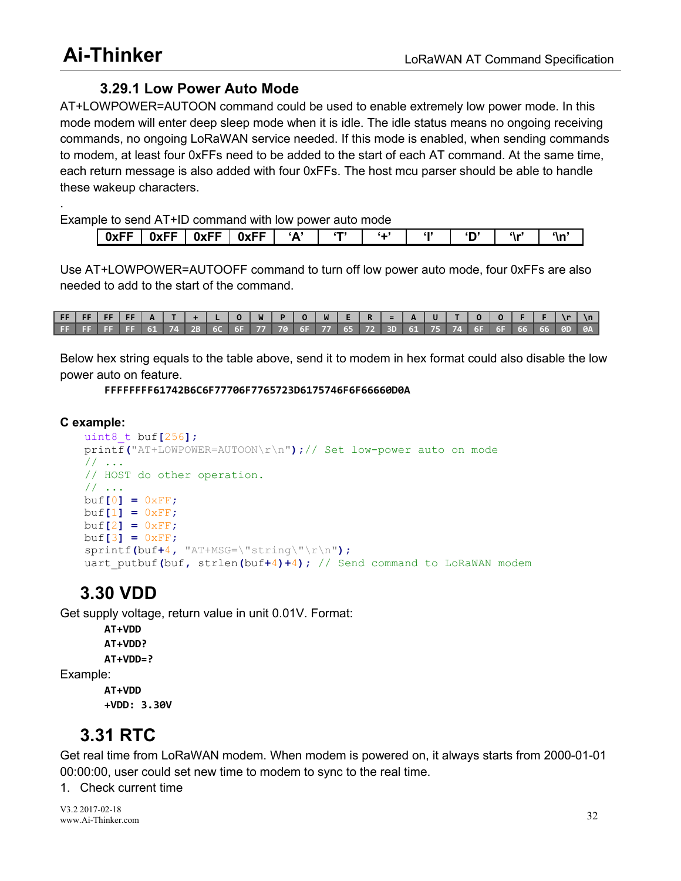### <span id="page-36-1"></span><span id="page-36-0"></span>**3.29.1 Low Power Auto Mode**

AT+LOWPOWER=AUTOON command could be used to enable extremely low power mode. In this mode modem will enter deep sleep mode when it is idle. The idle status means no ongoing receiving commands, no ongoing LoRaWAN service needed. If this mode is enabled, when sending commands to modem, at least four 0xFFs need to be added to the start of each AT command. At the same time, each return message is also added with four 0xFFs. The host mcu parser should be able to handle these wakeup characters.

Example to send AT+ID command with low power auto mode

| "<br><b>The County of the County</b><br>0xFF<br>nv!<br>NVEE<br>٠A<br>۰۱.<br>м.<br>- |  |  |  |  |  |  |
|-------------------------------------------------------------------------------------|--|--|--|--|--|--|
|                                                                                     |  |  |  |  |  |  |

Use AT+LOWPOWER=AUTOOFF command to turn off low power auto mode, four 0xFFs are also needed to add to the start of the command.

| FF   FF   FF   FF   A   T   +   L   O   W   P   O   W   E   R   =   A   U   T   O   O   F   F   \r   \n |  |  |  |  |  |  |  |  |  |  |  |  |
|---------------------------------------------------------------------------------------------------------|--|--|--|--|--|--|--|--|--|--|--|--|
| FF FF FF FF 61 74 2B 6C 6F 77 70 6F 77 65 72 3D 61 75 74 6F 6F 66 66 0D 0A                              |  |  |  |  |  |  |  |  |  |  |  |  |

Below hex string equals to the table above, send it to modem in hex format could also disable the low power auto on feature.

**FFFFFFFF61742B6C6F77706F7765723D6175746F6F66660D0A**

#### **C example:**

```
uint8_t buf[256];
printf("AT+LOWPOWER=AUTOON\r\n");// Set low-power auto on mode
// ...
// HOST do other operation.
// ...
buf[0] = 0xFF;
buf[1] = 0xFF;
buf[2] = 0xFF;buf[3] = 0xFF;
sprintf(buf+4, "AT+MSG=\"string\"\r\n");
uart_putbuf(buf, strlen(buf+4)+4); // Send command to LoRaWAN modem
```
## **3.30 VDD**

Get supply voltage, return value in unit 0.01V. Format:

**AT+VDD AT+VDD? AT+VDD=?** Example: **AT+VDD**

**+VDD: 3.30V**

# **3.31 RTC**

Get real time from LoRaWAN modem. When modem is powered on, it always starts from 2000-01-01 00:00:00, user could set new time to modem to sync to the real time.<br>1. Check current time

V3.2 2017-02-18 www.Ai-Thinker.com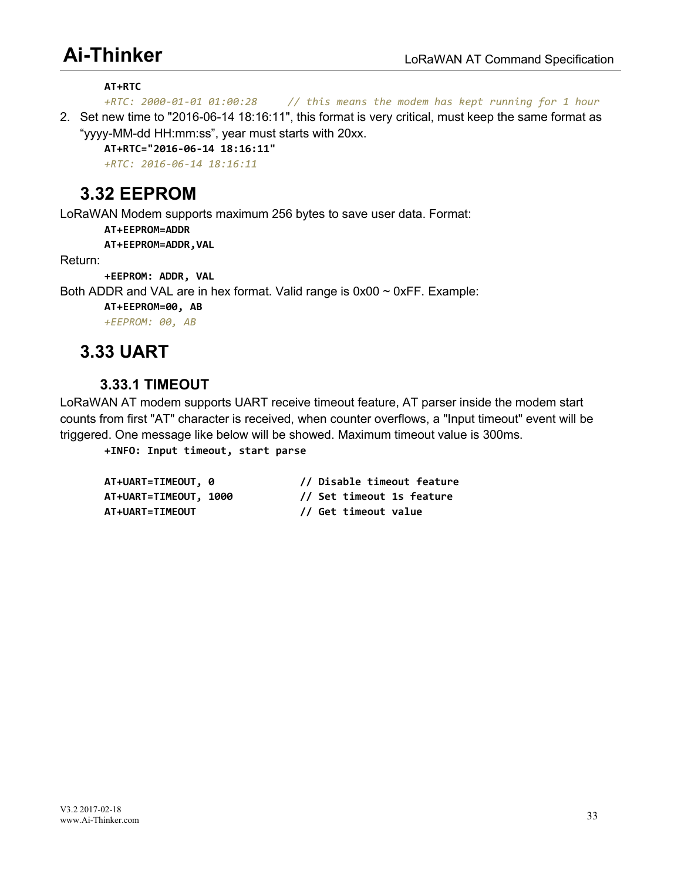<span id="page-37-1"></span><span id="page-37-0"></span>**AT+RTC**

*+RTC: 2000-01-01 01:00:28 // this means the modem has kept running for 1 hour*

2. Set new time to "2016-06-14 18:16:11", this format is very critical, must keep the same format as "yyyy-MM-dd HH:mm:ss", year must starts with 20xx.

**AT+RTC="2016-06-14 18:16:11"**

*+RTC: 2016-06-14 18:16:11*

## **3.32 EEPROM**

LoRaWAN Modem supports maximum 256 bytes to save user data. Format:

**AT+EEPROM=ADDR**

**AT+EEPROM=ADDR,VAL**

Return:

**+EEPROM: ADDR, VAL**

Both ADDR and VAL are in hex format. Valid range is  $0x00 \sim 0xFF$ . Example:

**AT+EEPROM=00, AB**

*+EEPROM: 00, AB*

## **3.33 UART**

### **3.33.1 TIMEOUT**

LoRaWAN AT modem supports UART receive timeout feature, AT parser inside the modem start counts from first "AT" character is received, when counter overflows, a "Input timeout" event will be triggered. One message like below will be showed. Maximum timeout value is 300ms.

**+INFO: Input timeout, start parse**

| AT+UART=TIMEOUT, 0     | // Disable timeout feature |
|------------------------|----------------------------|
| AT+UART=TIMEOUT, 1000  | // Set timeout 1s feature  |
| <b>AT+UART=TIMEOUT</b> | // Get timeout value       |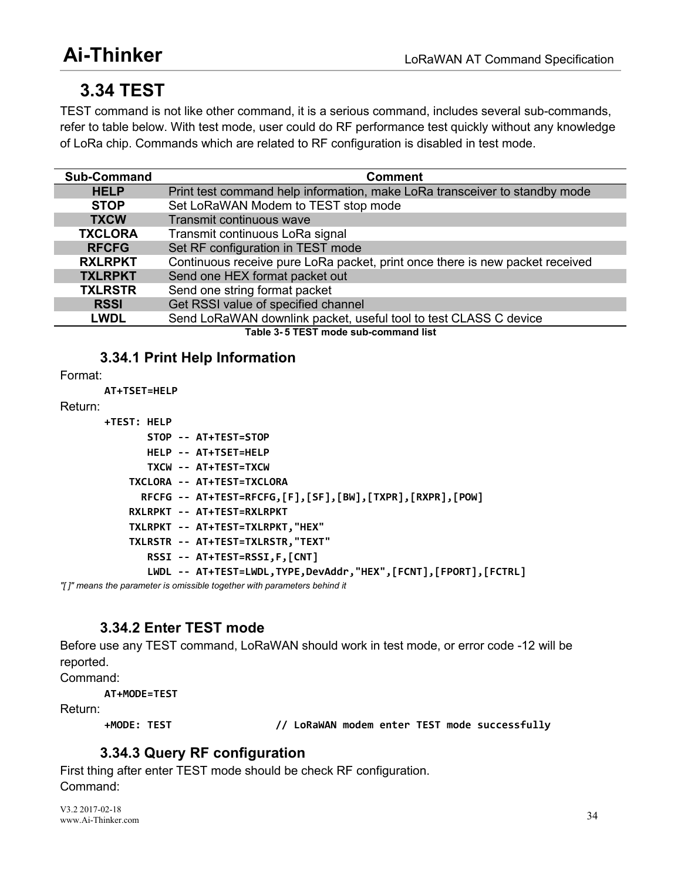# <span id="page-38-2"></span><span id="page-38-1"></span><span id="page-38-0"></span>**3.34 TEST**

TEST command is not like other command, it is a serious command, includes several sub-commands, refer to table below. With test mode, user could do RF performance test quickly without any knowledge of LoRa chip. Commands which are related to RF configuration is disabled in test mode.

| <b>Sub-Command</b> | <b>Comment</b>                                                               |
|--------------------|------------------------------------------------------------------------------|
| <b>HELP</b>        | Print test command help information, make LoRa transceiver to standby mode   |
| <b>STOP</b>        | Set LoRaWAN Modem to TEST stop mode                                          |
| <b>TXCW</b>        | Transmit continuous wave                                                     |
| <b>TXCLORA</b>     | Transmit continuous LoRa signal                                              |
| <b>RFCFG</b>       | Set RF configuration in TEST mode                                            |
| <b>RXLRPKT</b>     | Continuous receive pure LoRa packet, print once there is new packet received |
| <b>TXLRPKT</b>     | Send one HEX format packet out                                               |
| <b>TXLRSTR</b>     | Send one string format packet                                                |
| <b>RSSI</b>        | Get RSSI value of specified channel                                          |
| <b>LWDL</b>        | Send LoRaWAN downlink packet, useful tool to test CLASS C device             |
|                    | Table 3-5 TEST mode sub-command list                                         |

**3.34.1 Print Help Information**

Format:

**AT+TSET=HELP**

Return:

```
+TEST: HELP
       STOP -- AT+TEST=STOP
       HELP -- AT+TSET=HELP
       TXCW -- AT+TEST=TXCW
    TXCLORA -- AT+TEST=TXCLORA
      RFCFG -- AT+TEST=RFCFG,[F],[SF],[BW],[TXPR],[RXPR],[POW]
    RXLRPKT -- AT+TEST=RXLRPKT
    TXLRPKT -- AT+TEST=TXLRPKT,"HEX"
    TXLRSTR -- AT+TEST=TXLRSTR,"TEXT"
       RSSI -- AT+TEST=RSSI,F,[CNT]
       LWDL -- AT+TEST=LWDL,TYPE,DevAddr,"HEX",[FCNT],[FPORT],[FCTRL]
```
*"[ ]" means the parameter is omissible together with parameters behind it*

## **3.34.2 Enter TEST mode**

Before use any TEST command, LoRaWAN should work in testmode, or error code -12 will be reported.

Command:

```
AT+MODE=TEST
```
Return:

**+MODE: TEST // LoRaWAN modem enter TEST mode successfully**

## **3.34.3 Query RF configuration**

First thing after enter TEST mode should be check RF configuration.<br>Command:

V3.2 2017-02-18 www.Ai-Thinker.com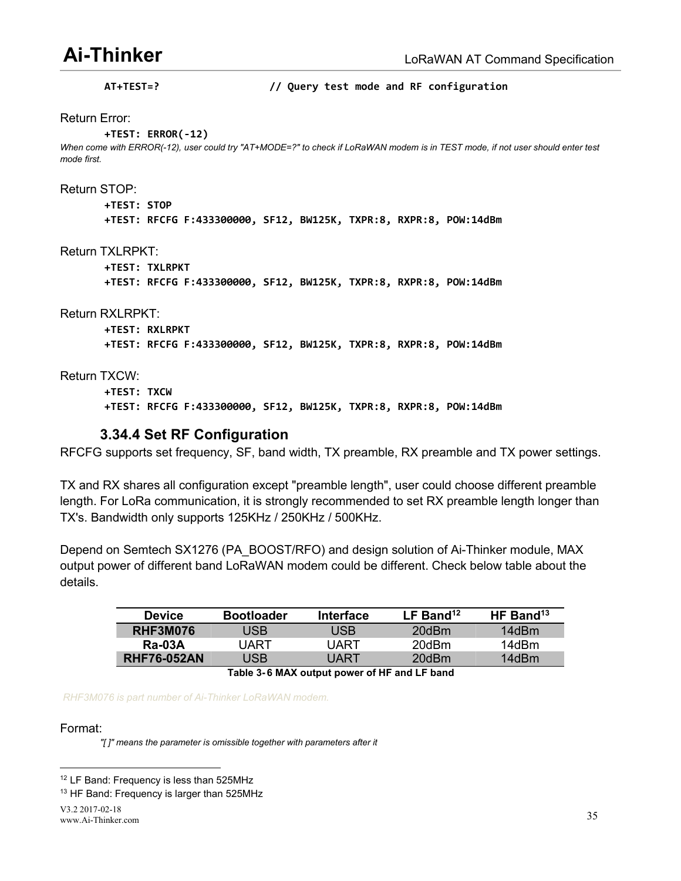<span id="page-39-1"></span><span id="page-39-0"></span>**AT+TEST=? // Query test mode and RF configuration** Return Error: **+TEST: ERROR(-12)** When come with ERROR(-12), user could try "AT+MODE=?" to check if LoRaWAN modem is in TEST mode, if not user should enter test *mode first.* Return STOP: **+TEST: STOP +TEST: RFCFG F:433300000, SF12, BW125K, TXPR:8, RXPR:8, POW:14dBm** Return TXLRPKT: **+TEST: TXLRPKT +TEST: RFCFG F:433300000, SF12, BW125K, TXPR:8, RXPR:8, POW:14dBm** Return RXLRPKT: **+TEST: RXLRPKT +TEST: RFCFG F:433300000, SF12, BW125K, TXPR:8, RXPR:8, POW:14dBm** Return TXCW:

**+TEST: TXCW +TEST: RFCFG F:433300000, SF12, BW125K, TXPR:8, RXPR:8, POW:14dBm**

#### **3.34.4 Set RF Configuration**

RFCFG supports set frequency, SF, band width, TX preamble, RX preamble and TX power settings.

TX and RX shares all configuration except "preamble length", user could choose different preamble length. For LoRa communication, it is strongly recommended to set RX preamble length longer than TX's. Bandwidth only supports 125KHz / 250KHz / 500KHz.

Depend on [Semtech](http://www.semtech.com/images/datasheet/sx1276.pdf) SX1276 (PA\_BOOST/RFO) and design solution of Ai-Thinker module, MAX output power of different band LoRaWAN modem could be different. Check below table about the details.

| <b>Device</b>                                           | <b>Bootloader</b> | Interface  | LF Band <sup>12</sup> | HF Band <sup>13</sup> |  |  |  |  |
|---------------------------------------------------------|-------------------|------------|-----------------------|-----------------------|--|--|--|--|
| <b>RHF3M076</b>                                         | JSB               | <b>JSB</b> | 20dBm                 | 14dBm                 |  |  |  |  |
| <b>Ra-03A</b>                                           | JART              | JART       | 20dBm                 | 14dBm                 |  |  |  |  |
| <b>RHF76-052AN</b>                                      | JSB               | JART       | 20dBm                 | 14dBm                 |  |  |  |  |
| The black of A BAAM and and a series of HP and HP based |                   |            |                       |                       |  |  |  |  |

**Table 3- 6 MAX output power of HF and LF band**

*RHF3M076 is part number ofAi-Thinker LoRaWAN modem.*

Format:

*"[ ]" means the parameter is omissible together with parameters after it*

<span id="page-39-2"></span><sup>&</sup>lt;sup>12</sup> LF Band: Frequency is less than 525MHz

<span id="page-39-3"></span><sup>&</sup>lt;sup>13</sup> HF Band: Frequency is larger than 525MHz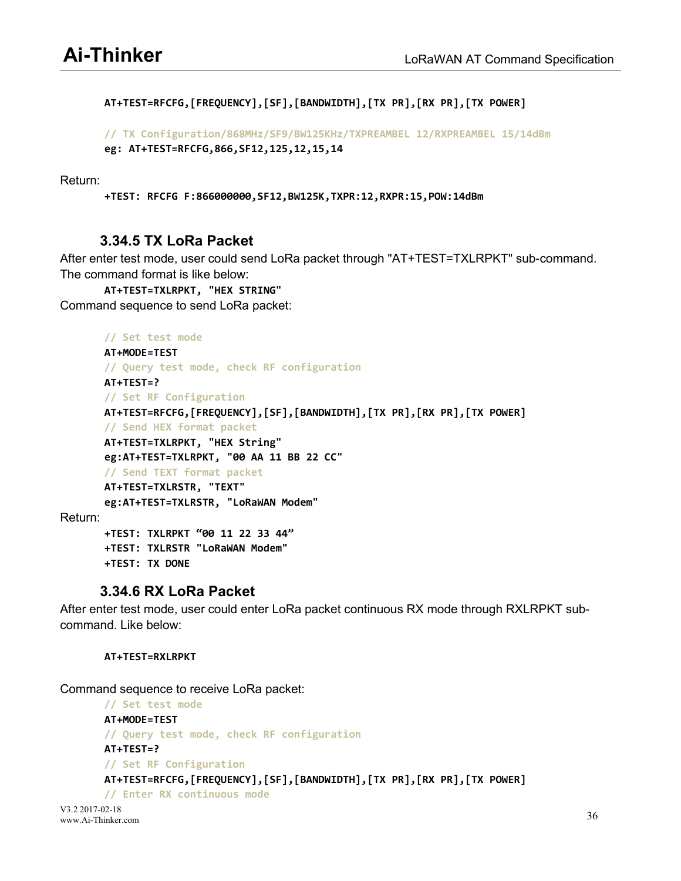```
AT+TEST=RFCFG,[FREQUENCY],[SF],[BANDWIDTH],[TX PR],[RX PR],[TX POWER]
```

```
// TX Configuration/868MHz/SF9/BW125KHz/TXPREAMBEL 12/RXPREAMBEL 15/14dBm
eg: AT+TEST=RFCFG,866,SF12,125,12,15,14
```
Return:

```
+TEST: RFCFG F:866000000,SF12,BW125K,TXPR:12,RXPR:15,POW:14dBm
```
#### **3.34.5 TX LoRa Packet**

After enter test mode, user could send LoRa packet through "AT+TEST=TXLRPKT" sub-command. The command format is like below:

**AT+TEST=TXLRPKT, "HEX STRING"** Command sequence to send LoRa packet:

```
// Set test mode
       AT+MODE=TEST
       // Query test mode, check RF configuration
       AT+TEST=?
       // Set RF Configuration
       AT+TEST=RFCFG,[FREQUENCY],[SF],[BANDWIDTH],[TX PR],[RX PR],[TX POWER]
       // Send HEX format packet
       AT+TEST=TXLRPKT, "HEX String"
       eg:AT+TEST=TXLRPKT, "00 AA 11 BB 22 CC"
       // Send TEXT format packet
       AT+TEST=TXLRSTR, "TEXT"
       eg:AT+TEST=TXLRSTR, "LoRaWAN Modem" Return:
       +TEST: TXLRPKT "00 11 22 33 44"
       +TEST: TXLRSTR "LoRaWAN Modem"
       +TEST: TX DONE
```
#### **3.34.6 RX LoRa Packet**

After enter test mode, user could enter LoRa packet continuous RX mode through RXLRPKT sub command. Like below:

**AT+TEST=RXLRPKT**

Command sequence to receive LoRa packet:

```
// Set test mode
AT+MODE=TEST
// Query test mode, check RF configuration
AT+TEST=?
// Set RF Configuration
AT+TEST=RFCFG,[FREQUENCY],[SF],[BANDWIDTH],[TX PR],[RX PR],[TX POWER]
// Enter RX continuous mode
```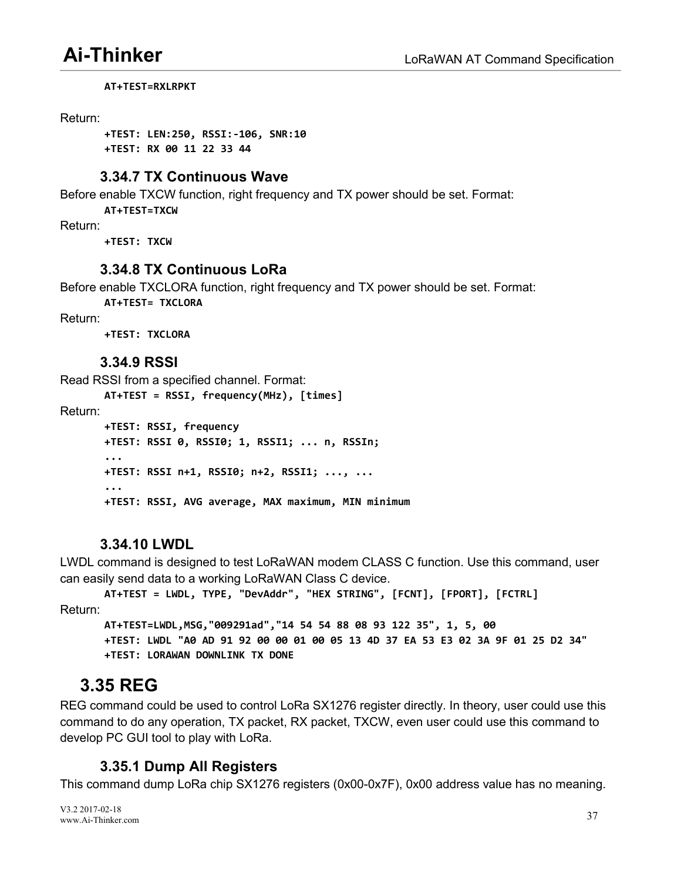<span id="page-41-2"></span><span id="page-41-1"></span><span id="page-41-0"></span>**AT+TEST=RXLRPKT**

#### Return:

**+TEST: LEN:250, RSSI:-106, SNR:10 +TEST: RX 00 11 22 33 44**

#### **3.34.7 TX Continuous Wave**

Before enable TXCW function, right frequency and TX power should be set. Format:

**AT+TEST=TXCW**

Return:

**+TEST: TXCW**

### **3.34.8 TX Continuous LoRa**

Before enable TXCLORA function, right frequency and TX power should be set. Format:

**AT+TEST= TXCLORA**

Return:

**+TEST: TXCLORA**

#### **3.34.9 RSSI**

Read RSSI from a specified channel. Format:

**AT+TEST = RSSI, frequency(MHz), [times]** Return: **+TEST: RSSI, frequency +TEST: RSSI 0, RSSI0; 1, RSSI1; ... n, RSSIn; ... ... ... ... ... ... ... ... +TEST: RSSI n+1, RSSI0; n+2, RSSI1; ..., ... ... ... ... ... ... ... ... ... +TEST: RSSI, AVG average, MAX maximum, MIN minimum**

### **3.34.10 LWDL**

LWDL command is designed to test LoRaWAN modem CLASS C function. Use this command, user can easily send data to a working LoRaWAN Class C device.

**AT+TEST = LWDL, TYPE, "DevAddr", "HEX STRING", [FCNT], [FPORT], [FCTRL]** Return:

**AT+TEST=LWDL,MSG,"009291ad","14 54 54 88 08 93 122 35", 1, 5, 00** +TEST: LWDL "A0 AD 91 92 00 00 01 00 05 13 4D 37 EA 53 E3 02 3A 9F 01 25 D2 34" **+TEST: LORAWAN DOWNLINK TX DONE**

## **3.35 REG**

REG command could be used to control LoRa SX1276 register directly. In theory, user could use this command to do any operation, TX packet, RX packet, TXCW, even user could use this command to develop PC GUI tool to play with LoRa.

### **3.35.1 Dump All Registers**

This command dump LoRa chip SX1276 registers (0x00-0x7F), 0x00 address value has no meaning.

V3.2 2017-02-18 www.Ai-Thinker.com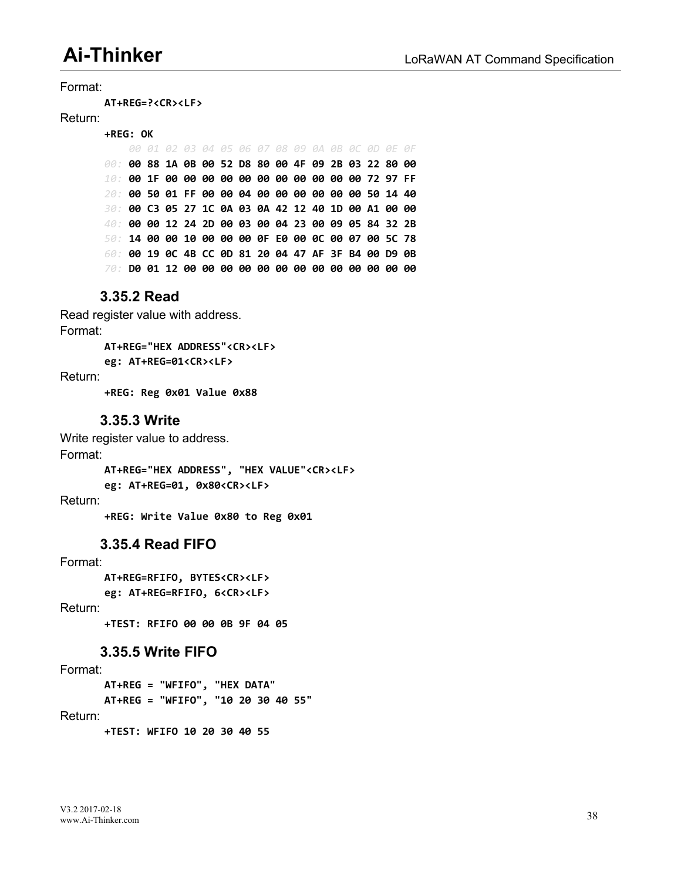Format:

<span id="page-42-0"></span>**AT+REG=?<CR><LF>**

#### Return:

**+REG: OK** *00 01 02 03 04 05 06 07 08 09 0A 0B 0C 0D 0E 0F 00:* **00 88 1A 0B 00 52 D8 80 00 4F 09 2B 03 22 80 00** *10:* **00 1F 00 00 00 00 00 00 00 00 00 00 00 72 97 FF** *20:* **00 50 01 FF 00 00 04 00 00 00 00 00 00 50 14 40** *30:* **00 C3 05 27 1C 0A 03 0A 42 12 40 1D 00 A1 00 00** *40:* **00 00 12 24 2D 00 03 00 04 23 00 09 05 84 32 2B** *50:* **14 00 00 10 00 00 00 0F E0 00 0C 00 07 00 5C 78** *60:* **00 19 0C 4B CC 0D 81 20 04 47 AF 3F B4 00 D9 0B** *70:* **D0 01 12 00 00 00 00 00 00 00 00 00 00 00 00 00**

#### **3.35.2 Read**

Read register value with address. Format: **AT+REG="HEX ADDRESS"<CR><LF> eg: AT+REG=01<CR><LF>** Return: **+REG: Reg 0x01 Value 0x88**

#### **3.35.3 Write**

Write register value to address. Format: **AT+REG="HEX ADDRESS", "HEX VALUE"<CR><LF>**

**eg: AT+REG=01, 0x80<CR><LF>**

Return:

**+REG: Write Value 0x80 to Reg 0x01**

#### **3.35.4 Read FIFO**

#### Format:

**AT+REG=RFIFO, BYTES<CR><LF>**

**eg: AT+REG=RFIFO, 6<CR><LF>**

Return:

**+TEST: RFIFO 00 00 0B 9F 04 05**

#### **3.35.5 Write FIFO**

#### Format:

**AT+REG = "WFIFO", "HEX DATA" AT+REG = "WFIFO", "10 20 30 40 55"** Return:

**+TEST: WFIFO 10 20 30 40 55**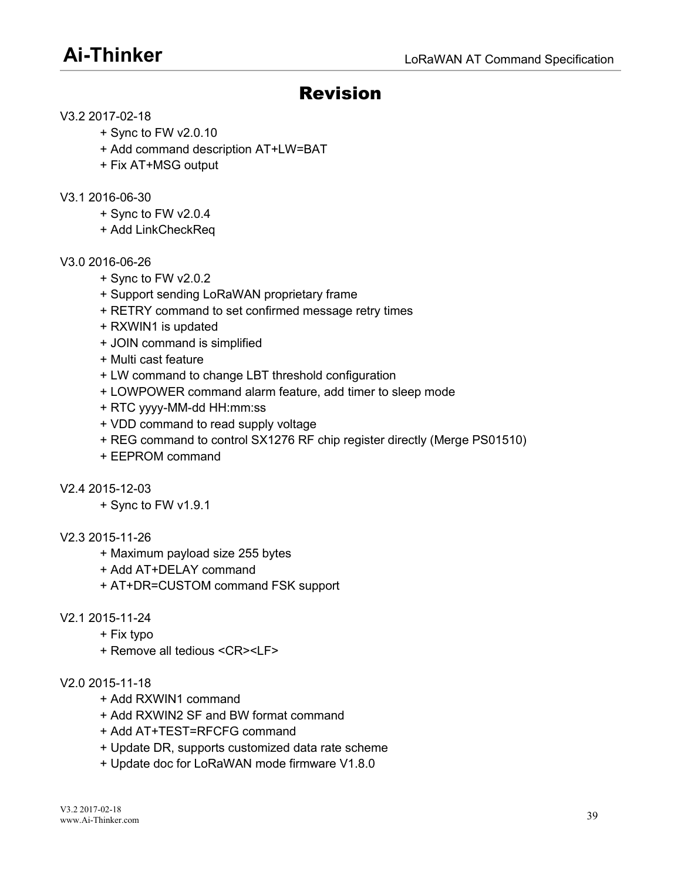## <span id="page-43-0"></span>Revision

#### V3.2 2017-02-18

- + Sync to FW v2.0.10
- + Add command description AT+LW=BAT
- + FixAT+MSG output

#### V3.1 2016-06-30

- + Sync to FW v2.0.4
- + Add LinkCheckReq

#### V3.0 2016-06-26

- + Sync to FW v2.0.2
- + Support sending LoRaWAN proprietary frame
- + RETRY command to set confirmed message retry times
- + RXWIN1 is updated
- + JOIN command is simplified
- + Multi cast feature
- + LW command to change LBT threshold configuration
- + LOWPOWER command alarm feature, add timer to sleep mode
- + RTC yyyy-MM-dd HH:mm:ss
- + VDD command to read supply voltage
- + REG command to control SX1276 RF chip register directly (Merge PS01510)
- + EEPROM command

#### V2.4 2015-12-03

+ Sync to FW v1.9.1

#### V2.3 2015-11-26

- + Maximum payload size 255 bytes
- + Add AT+DELAY command
- + AT+DR=CUSTOM command FSK support

#### V2.1 2015-11-24

- + Fix typo
- + Remove all tedious <CR><LF>

#### V2.0 2015-11-18

- + Add RXWIN1 command
- + Add RXWIN2 SF and BW format command
- + Add AT+TEST=RFCFG command
- + Update DR, supports customized data rate scheme
- + Update doc for LoRaWAN mode firmware V1.8.0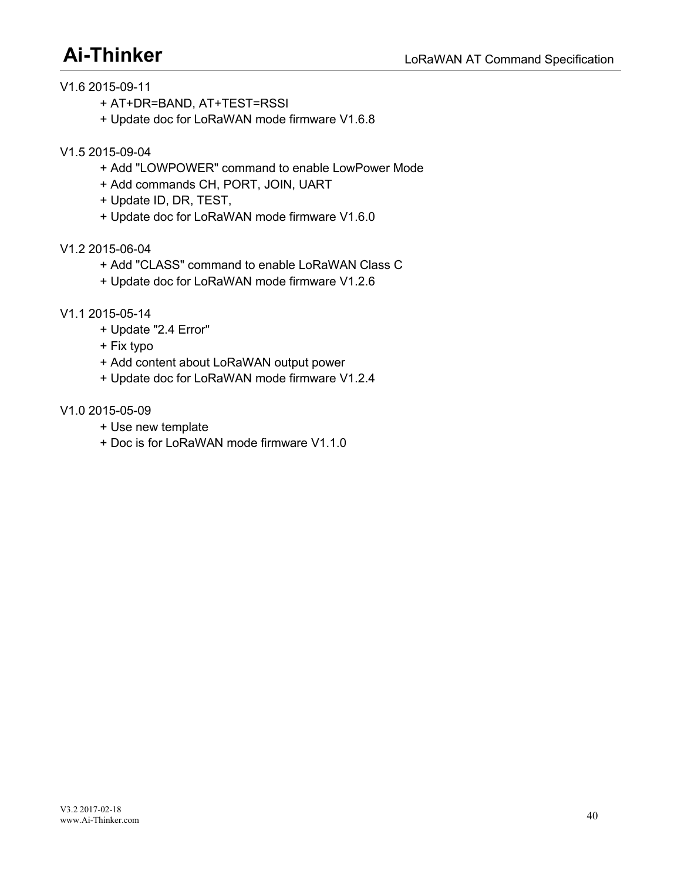- V1.6 2015-09-11
	- + AT+DR=BAND, AT+TEST=RSSI
	- + Update doc for LoRaWAN mode firmware V1.6.8
- V1.5 2015-09-04
	- + Add "LOWPOWER" command to enable LowPower Mode
	- + Add commands CH, PORT, JOIN, UART
	- + Update ID, DR, TEST,
	- + Update doc for LoRaWAN mode firmware V1.6.0
- V1.2 2015-06-04
	- + Add "CLASS" command to enable LoRaWAN Class C
	- + Update doc for LoRaWAN mode firmware V1.2.6
- V1.1 2015-05-14
	- + Update "2.4 Error"
	- + Fix typo
	- + Add content about LoRaWAN output power
	- + Update doc for LoRaWAN mode firmware V1.2.4
- V1.0 2015-05-09
	- + Use new template
	- + Doc is for LoRaWAN mode firmware V1.1.0